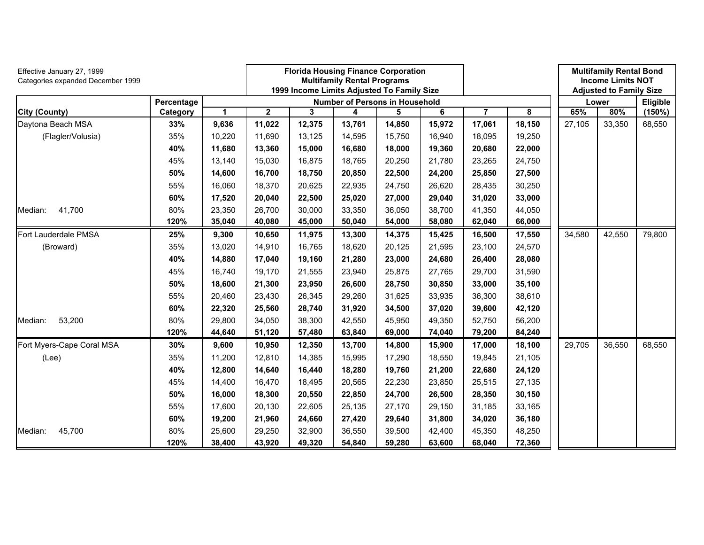| Effective January 27, 1999<br>Categories expanded December 1999 |            |        |             |        | <b>Florida Housing Finance Corporation</b><br><b>Multifamily Rental Programs</b><br>1999 Income Limits Adjusted To Family Size |        |        |        |        |        | <b>Multifamily Rental Bond</b><br><b>Income Limits NOT</b><br><b>Adjusted to Family Size</b> |          |
|-----------------------------------------------------------------|------------|--------|-------------|--------|--------------------------------------------------------------------------------------------------------------------------------|--------|--------|--------|--------|--------|----------------------------------------------------------------------------------------------|----------|
|                                                                 | Percentage |        |             |        | Number of Persons in Household                                                                                                 |        |        |        |        |        | Lower                                                                                        | Eligible |
| <b>City (County)</b>                                            | Category   | 1      | $\mathbf 2$ | 3      | 4                                                                                                                              | 5      | 6      | 7      | 8      | 65%    | 80%                                                                                          | (150%)   |
| Daytona Beach MSA                                               | 33%        | 9,636  | 11,022      | 12,375 | 13,761                                                                                                                         | 14,850 | 15,972 | 17,061 | 18,150 | 27,105 | 33,350                                                                                       | 68,550   |
| (Flagler/Volusia)                                               | 35%        | 10,220 | 11,690      | 13,125 | 14,595                                                                                                                         | 15,750 | 16,940 | 18,095 | 19,250 |        |                                                                                              |          |
|                                                                 | 40%        | 11,680 | 13,360      | 15,000 | 16,680                                                                                                                         | 18,000 | 19,360 | 20,680 | 22,000 |        |                                                                                              |          |
|                                                                 | 45%        | 13,140 | 15,030      | 16,875 | 18,765                                                                                                                         | 20,250 | 21,780 | 23,265 | 24,750 |        |                                                                                              |          |
|                                                                 | 50%        | 14,600 | 16,700      | 18,750 | 20,850                                                                                                                         | 22,500 | 24,200 | 25,850 | 27,500 |        |                                                                                              |          |
|                                                                 | 55%        | 16,060 | 18,370      | 20,625 | 22,935                                                                                                                         | 24,750 | 26,620 | 28,435 | 30,250 |        |                                                                                              |          |
|                                                                 | 60%        | 17,520 | 20,040      | 22,500 | 25,020                                                                                                                         | 27,000 | 29,040 | 31,020 | 33,000 |        |                                                                                              |          |
| 41,700<br>Median:                                               | 80%        | 23,350 | 26,700      | 30,000 | 33,350                                                                                                                         | 36,050 | 38,700 | 41,350 | 44,050 |        |                                                                                              |          |
|                                                                 | 120%       | 35,040 | 40,080      | 45,000 | 50,040                                                                                                                         | 54,000 | 58,080 | 62,040 | 66,000 |        |                                                                                              |          |
| Fort Lauderdale PMSA                                            | 25%        | 9,300  | 10,650      | 11,975 | 13,300                                                                                                                         | 14,375 | 15,425 | 16,500 | 17,550 | 34,580 | 42,550                                                                                       | 79,800   |
| (Broward)                                                       | 35%        | 13,020 | 14,910      | 16,765 | 18,620                                                                                                                         | 20,125 | 21,595 | 23,100 | 24,570 |        |                                                                                              |          |
|                                                                 | 40%        | 14,880 | 17,040      | 19,160 | 21,280                                                                                                                         | 23,000 | 24,680 | 26,400 | 28,080 |        |                                                                                              |          |
|                                                                 | 45%        | 16,740 | 19,170      | 21,555 | 23,940                                                                                                                         | 25,875 | 27,765 | 29,700 | 31,590 |        |                                                                                              |          |
|                                                                 | 50%        | 18,600 | 21,300      | 23,950 | 26,600                                                                                                                         | 28,750 | 30,850 | 33,000 | 35,100 |        |                                                                                              |          |
|                                                                 | 55%        | 20,460 | 23,430      | 26,345 | 29,260                                                                                                                         | 31,625 | 33,935 | 36,300 | 38,610 |        |                                                                                              |          |
|                                                                 | 60%        | 22,320 | 25,560      | 28,740 | 31,920                                                                                                                         | 34,500 | 37,020 | 39,600 | 42,120 |        |                                                                                              |          |
| 53,200<br>Median:                                               | 80%        | 29,800 | 34,050      | 38,300 | 42,550                                                                                                                         | 45,950 | 49,350 | 52,750 | 56,200 |        |                                                                                              |          |
|                                                                 | 120%       | 44,640 | 51,120      | 57,480 | 63,840                                                                                                                         | 69,000 | 74,040 | 79,200 | 84,240 |        |                                                                                              |          |
| Fort Myers-Cape Coral MSA                                       | 30%        | 9,600  | 10,950      | 12,350 | 13,700                                                                                                                         | 14,800 | 15,900 | 17,000 | 18,100 | 29,705 | 36,550                                                                                       | 68,550   |
| (Lee)                                                           | 35%        | 11,200 | 12,810      | 14,385 | 15,995                                                                                                                         | 17,290 | 18,550 | 19,845 | 21,105 |        |                                                                                              |          |
|                                                                 | 40%        | 12,800 | 14,640      | 16,440 | 18,280                                                                                                                         | 19,760 | 21,200 | 22,680 | 24,120 |        |                                                                                              |          |
|                                                                 | 45%        | 14,400 | 16,470      | 18,495 | 20,565                                                                                                                         | 22,230 | 23,850 | 25,515 | 27,135 |        |                                                                                              |          |
|                                                                 | 50%        | 16,000 | 18,300      | 20,550 | 22,850                                                                                                                         | 24,700 | 26,500 | 28,350 | 30,150 |        |                                                                                              |          |
|                                                                 | 55%        | 17,600 | 20,130      | 22,605 | 25,135                                                                                                                         | 27,170 | 29,150 | 31,185 | 33,165 |        |                                                                                              |          |
|                                                                 | 60%        | 19,200 | 21,960      | 24,660 | 27,420                                                                                                                         | 29,640 | 31,800 | 34,020 | 36,180 |        |                                                                                              |          |
| Median:<br>45,700                                               | 80%        | 25,600 | 29,250      | 32,900 | 36,550                                                                                                                         | 39,500 | 42,400 | 45,350 | 48,250 |        |                                                                                              |          |
|                                                                 | 120%       | 38,400 | 43,920      | 49,320 | 54,840                                                                                                                         | 59,280 | 63,600 | 68,040 | 72,360 |        |                                                                                              |          |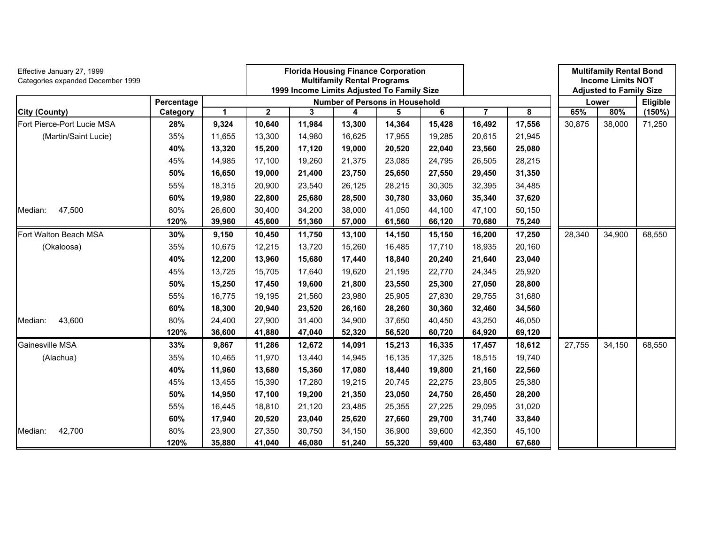| Effective January 27, 1999<br>Categories expanded December 1999 |            |        | <b>Florida Housing Finance Corporation</b><br><b>Multifamily Rental Programs</b><br>1999 Income Limits Adjusted To Family Size<br>Number of Persons in Household |        |        |        |        |        |        |        | <b>Multifamily Rental Bond</b><br><b>Income Limits NOT</b><br><b>Adjusted to Family Size</b> |           |
|-----------------------------------------------------------------|------------|--------|------------------------------------------------------------------------------------------------------------------------------------------------------------------|--------|--------|--------|--------|--------|--------|--------|----------------------------------------------------------------------------------------------|-----------|
|                                                                 | Percentage |        |                                                                                                                                                                  |        |        |        |        |        |        |        | Lower                                                                                        | Eligible  |
| City (County)                                                   | Category   | 1      | $\mathbf 2$                                                                                                                                                      | 3      | 4      | 5      | 6      | 7      | 8      | 65%    | 80%                                                                                          | $(150\%)$ |
| Fort Pierce-Port Lucie MSA                                      | 28%        | 9,324  | 10,640                                                                                                                                                           | 11,984 | 13,300 | 14,364 | 15,428 | 16,492 | 17,556 | 30,875 | 38,000                                                                                       | 71,250    |
| (Martin/Saint Lucie)                                            | 35%        | 11,655 | 13,300                                                                                                                                                           | 14,980 | 16,625 | 17,955 | 19,285 | 20,615 | 21,945 |        |                                                                                              |           |
|                                                                 | 40%        | 13,320 | 15,200                                                                                                                                                           | 17,120 | 19,000 | 20,520 | 22,040 | 23,560 | 25,080 |        |                                                                                              |           |
|                                                                 | 45%        | 14,985 | 17,100                                                                                                                                                           | 19,260 | 21,375 | 23,085 | 24,795 | 26,505 | 28,215 |        |                                                                                              |           |
|                                                                 | 50%        | 16,650 | 19,000                                                                                                                                                           | 21,400 | 23,750 | 25,650 | 27,550 | 29,450 | 31,350 |        |                                                                                              |           |
|                                                                 | 55%        | 18,315 | 20,900                                                                                                                                                           | 23,540 | 26,125 | 28,215 | 30,305 | 32,395 | 34,485 |        |                                                                                              |           |
|                                                                 | 60%        | 19,980 | 22,800                                                                                                                                                           | 25,680 | 28,500 | 30,780 | 33,060 | 35,340 | 37,620 |        |                                                                                              |           |
| 47,500<br>Median:                                               | 80%        | 26,600 | 30,400                                                                                                                                                           | 34,200 | 38,000 | 41,050 | 44,100 | 47,100 | 50,150 |        |                                                                                              |           |
|                                                                 | 120%       | 39,960 | 45,600                                                                                                                                                           | 51,360 | 57,000 | 61,560 | 66,120 | 70,680 | 75,240 |        |                                                                                              |           |
| Fort Walton Beach MSA                                           | 30%        | 9,150  | 10,450                                                                                                                                                           | 11,750 | 13,100 | 14,150 | 15,150 | 16,200 | 17,250 | 28,340 | 34,900                                                                                       | 68,550    |
| (Okaloosa)                                                      | 35%        | 10,675 | 12,215                                                                                                                                                           | 13,720 | 15,260 | 16,485 | 17,710 | 18,935 | 20,160 |        |                                                                                              |           |
|                                                                 | 40%        | 12,200 | 13,960                                                                                                                                                           | 15,680 | 17,440 | 18,840 | 20,240 | 21,640 | 23,040 |        |                                                                                              |           |
|                                                                 | 45%        | 13,725 | 15,705                                                                                                                                                           | 17,640 | 19,620 | 21,195 | 22,770 | 24,345 | 25,920 |        |                                                                                              |           |
|                                                                 | 50%        | 15,250 | 17,450                                                                                                                                                           | 19,600 | 21,800 | 23,550 | 25,300 | 27,050 | 28,800 |        |                                                                                              |           |
|                                                                 | 55%        | 16,775 | 19,195                                                                                                                                                           | 21,560 | 23,980 | 25,905 | 27,830 | 29,755 | 31,680 |        |                                                                                              |           |
|                                                                 | 60%        | 18,300 | 20,940                                                                                                                                                           | 23,520 | 26,160 | 28,260 | 30,360 | 32,460 | 34,560 |        |                                                                                              |           |
| 43,600<br>Median:                                               | 80%        | 24,400 | 27,900                                                                                                                                                           | 31,400 | 34,900 | 37,650 | 40,450 | 43,250 | 46,050 |        |                                                                                              |           |
|                                                                 | 120%       | 36,600 | 41,880                                                                                                                                                           | 47,040 | 52,320 | 56,520 | 60,720 | 64,920 | 69,120 |        |                                                                                              |           |
| Gainesville MSA                                                 | 33%        | 9,867  | 11,286                                                                                                                                                           | 12,672 | 14,091 | 15,213 | 16,335 | 17,457 | 18,612 | 27,755 | 34,150                                                                                       | 68,550    |
| (Alachua)                                                       | 35%        | 10,465 | 11,970                                                                                                                                                           | 13,440 | 14,945 | 16,135 | 17,325 | 18,515 | 19,740 |        |                                                                                              |           |
|                                                                 | 40%        | 11,960 | 13,680                                                                                                                                                           | 15,360 | 17,080 | 18,440 | 19,800 | 21,160 | 22,560 |        |                                                                                              |           |
|                                                                 | 45%        | 13,455 | 15,390                                                                                                                                                           | 17,280 | 19,215 | 20,745 | 22,275 | 23,805 | 25,380 |        |                                                                                              |           |
|                                                                 | 50%        | 14,950 | 17,100                                                                                                                                                           | 19,200 | 21,350 | 23,050 | 24,750 | 26,450 | 28,200 |        |                                                                                              |           |
|                                                                 | 55%        | 16,445 | 18,810                                                                                                                                                           | 21,120 | 23,485 | 25,355 | 27,225 | 29,095 | 31,020 |        |                                                                                              |           |
|                                                                 | 60%        | 17,940 | 20,520                                                                                                                                                           | 23,040 | 25,620 | 27,660 | 29,700 | 31,740 | 33,840 |        |                                                                                              |           |
| Median:<br>42,700                                               | 80%        | 23,900 | 27,350                                                                                                                                                           | 30,750 | 34,150 | 36,900 | 39,600 | 42,350 | 45,100 |        |                                                                                              |           |
|                                                                 | 120%       | 35,880 | 41,040                                                                                                                                                           | 46,080 | 51,240 | 55,320 | 59,400 | 63,480 | 67,680 |        |                                                                                              |           |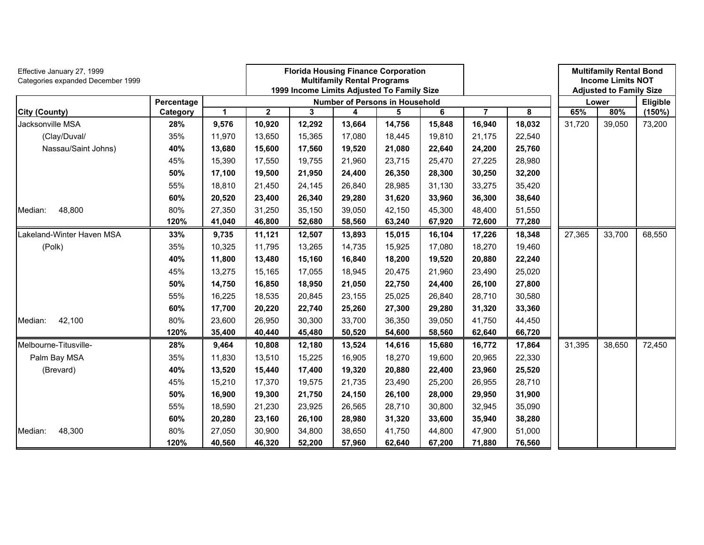| Effective January 27, 1999<br>Categories expanded December 1999 |            |             | <b>Florida Housing Finance Corporation</b><br>1999 Income Limits Adjusted To Family Size | <b>Multifamily Rental Programs</b> |                                       |        |        |        |        | <b>Multifamily Rental Bond</b><br><b>Income Limits NOT</b><br><b>Adjusted to Family Size</b> |        |          |
|-----------------------------------------------------------------|------------|-------------|------------------------------------------------------------------------------------------|------------------------------------|---------------------------------------|--------|--------|--------|--------|----------------------------------------------------------------------------------------------|--------|----------|
|                                                                 | Percentage |             |                                                                                          |                                    | <b>Number of Persons in Household</b> |        |        |        |        |                                                                                              | Lower  | Eligible |
| <b>City (County)</b>                                            | Category   | $\mathbf 1$ | $\mathbf{2}$                                                                             | 3                                  | 4                                     | 5      | 6      | 7      | 8      | 65%                                                                                          | 80%    | (150%)   |
| Jacksonville MSA                                                | 28%        | 9,576       | 10,920                                                                                   | 12,292                             | 13,664                                | 14,756 | 15,848 | 16,940 | 18,032 | 31,720                                                                                       | 39,050 | 73,200   |
| (Clay/Duval/                                                    | 35%        | 11,970      | 13,650                                                                                   | 15,365                             | 17,080                                | 18,445 | 19,810 | 21,175 | 22,540 |                                                                                              |        |          |
| Nassau/Saint Johns)                                             | 40%        | 13,680      | 15,600                                                                                   | 17,560                             | 19,520                                | 21,080 | 22,640 | 24,200 | 25,760 |                                                                                              |        |          |
|                                                                 | 45%        | 15,390      | 17,550                                                                                   | 19,755                             | 21,960                                | 23,715 | 25,470 | 27,225 | 28,980 |                                                                                              |        |          |
|                                                                 | 50%        | 17,100      | 19,500                                                                                   | 21,950                             | 24,400                                | 26,350 | 28,300 | 30,250 | 32,200 |                                                                                              |        |          |
|                                                                 | 55%        | 18,810      | 21,450                                                                                   | 24,145                             | 26,840                                | 28,985 | 31,130 | 33,275 | 35,420 |                                                                                              |        |          |
|                                                                 | 60%        | 20,520      | 23,400                                                                                   | 26,340                             | 29,280                                | 31,620 | 33,960 | 36,300 | 38,640 |                                                                                              |        |          |
| 48,800<br>Median:                                               | 80%        | 27,350      | 31,250                                                                                   | 35,150                             | 39,050                                | 42,150 | 45,300 | 48,400 | 51,550 |                                                                                              |        |          |
|                                                                 | 120%       | 41,040      | 46,800                                                                                   | 52,680                             | 58,560                                | 63,240 | 67,920 | 72,600 | 77,280 |                                                                                              |        |          |
| Lakeland-Winter Haven MSA                                       | 33%        | 9,735       | 11,121                                                                                   | 12,507                             | 13,893                                | 15,015 | 16,104 | 17,226 | 18,348 | 27,365                                                                                       | 33,700 | 68,550   |
| (Polk)                                                          | 35%        | 10,325      | 11,795                                                                                   | 13,265                             | 14,735                                | 15,925 | 17,080 | 18,270 | 19,460 |                                                                                              |        |          |
|                                                                 | 40%        | 11,800      | 13,480                                                                                   | 15,160                             | 16,840                                | 18,200 | 19,520 | 20,880 | 22,240 |                                                                                              |        |          |
|                                                                 | 45%        | 13,275      | 15,165                                                                                   | 17,055                             | 18,945                                | 20,475 | 21,960 | 23,490 | 25,020 |                                                                                              |        |          |
|                                                                 | 50%        | 14,750      | 16,850                                                                                   | 18,950                             | 21,050                                | 22,750 | 24,400 | 26,100 | 27,800 |                                                                                              |        |          |
|                                                                 | 55%        | 16,225      | 18,535                                                                                   | 20,845                             | 23,155                                | 25,025 | 26,840 | 28,710 | 30,580 |                                                                                              |        |          |
|                                                                 | 60%        | 17,700      | 20,220                                                                                   | 22,740                             | 25,260                                | 27,300 | 29,280 | 31,320 | 33,360 |                                                                                              |        |          |
| 42,100<br>Median:                                               | 80%        | 23,600      | 26,950                                                                                   | 30,300                             | 33,700                                | 36,350 | 39,050 | 41,750 | 44,450 |                                                                                              |        |          |
|                                                                 | 120%       | 35,400      | 40,440                                                                                   | 45,480                             | 50,520                                | 54,600 | 58,560 | 62,640 | 66,720 |                                                                                              |        |          |
| Melbourne-Titusville-                                           | 28%        | 9,464       | 10,808                                                                                   | 12,180                             | 13,524                                | 14,616 | 15,680 | 16,772 | 17,864 | 31,395                                                                                       | 38,650 | 72,450   |
| Palm Bay MSA                                                    | 35%        | 11,830      | 13,510                                                                                   | 15,225                             | 16,905                                | 18,270 | 19,600 | 20,965 | 22,330 |                                                                                              |        |          |
| (Brevard)                                                       | 40%        | 13,520      | 15,440                                                                                   | 17,400                             | 19,320                                | 20,880 | 22,400 | 23,960 | 25,520 |                                                                                              |        |          |
|                                                                 | 45%        | 15,210      | 17,370                                                                                   | 19,575                             | 21,735                                | 23,490 | 25,200 | 26,955 | 28,710 |                                                                                              |        |          |
|                                                                 | 50%        | 16,900      | 19,300                                                                                   | 21,750                             | 24,150                                | 26,100 | 28,000 | 29,950 | 31,900 |                                                                                              |        |          |
|                                                                 | 55%        | 18,590      | 21,230                                                                                   | 23,925                             | 26,565                                | 28,710 | 30,800 | 32,945 | 35,090 |                                                                                              |        |          |
|                                                                 | 60%        | 20,280      | 23,160                                                                                   | 26,100                             | 28,980                                | 31,320 | 33,600 | 35,940 | 38,280 |                                                                                              |        |          |
| 48,300<br>Median:                                               | 80%        | 27,050      | 30,900                                                                                   | 34,800                             | 38,650                                | 41,750 | 44,800 | 47,900 | 51,000 |                                                                                              |        |          |
|                                                                 | 120%       | 40,560      | 46,320                                                                                   | 52,200                             | 57,960                                | 62,640 | 67,200 | 71,880 | 76,560 |                                                                                              |        |          |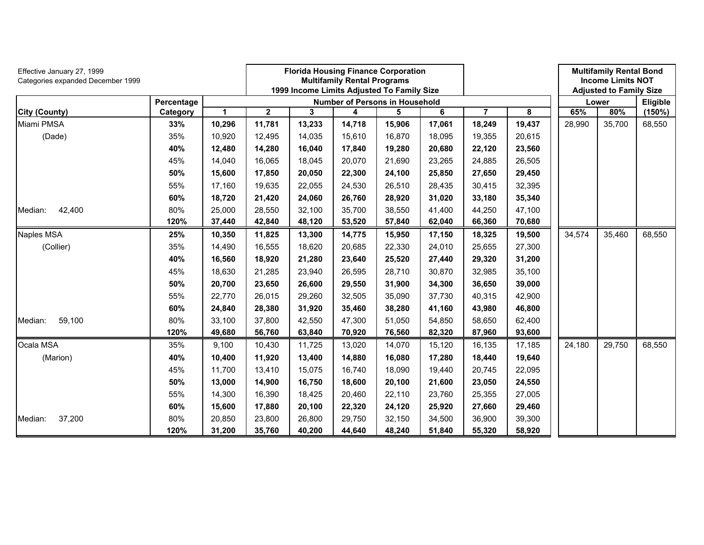| Effective January 27, 1999<br>Categories expanded December 1999 |            |             |              |        | <b>Florida Housing Finance Corporation</b><br><b>Multifamily Rental Programs</b> |        |        |                | <b>Multifamily Rental Bond</b><br><b>Income Limits NOT</b> |        |                                |          |
|-----------------------------------------------------------------|------------|-------------|--------------|--------|----------------------------------------------------------------------------------|--------|--------|----------------|------------------------------------------------------------|--------|--------------------------------|----------|
|                                                                 |            |             |              |        | 1999 Income Limits Adjusted To Family Size                                       |        |        |                |                                                            |        | <b>Adjusted to Family Size</b> |          |
|                                                                 | Percentage |             |              |        | <b>Number of Persons in Household</b>                                            |        |        |                |                                                            |        | Lower                          | Eligible |
| <b>City (County)</b>                                            | Category   | $\mathbf 1$ | $\mathbf{2}$ | 3      | 4                                                                                | 5      | 6      | $\overline{7}$ | 8                                                          | 65%    | 80%                            | (150%)   |
| Miami PMSA                                                      | 33%        | 10,296      | 11,781       | 13,233 | 14,718                                                                           | 15,906 | 17,061 | 18,249         | 19,437                                                     | 28,990 | 35.700                         | 68,550   |
| (Dade)                                                          | 35%        | 10,920      | 12,495       | 14,035 | 15,610                                                                           | 16,870 | 18,095 | 19,355         | 20,615                                                     |        |                                |          |
|                                                                 | 40%        | 12,480      | 14,280       | 16,040 | 17,840                                                                           | 19,280 | 20,680 | 22,120         | 23,560                                                     |        |                                |          |
|                                                                 | 45%        | 14,040      | 16,065       | 18,045 | 20,070                                                                           | 21,690 | 23,265 | 24,885         | 26,505                                                     |        |                                |          |
|                                                                 | 50%        | 15,600      | 17,850       | 20,050 | 22,300                                                                           | 24,100 | 25,850 | 27,650         | 29,450                                                     |        |                                |          |
|                                                                 | 55%        | 17,160      | 19,635       | 22,055 | 24,530                                                                           | 26,510 | 28,435 | 30,415         | 32,395                                                     |        |                                |          |
|                                                                 | 60%        | 18,720      | 21,420       | 24,060 | 26,760                                                                           | 28,920 | 31,020 | 33,180         | 35,340                                                     |        |                                |          |
| 42,400<br>Median:                                               | 80%        | 25,000      | 28,550       | 32,100 | 35,700                                                                           | 38,550 | 41,400 | 44,250         | 47,100                                                     |        |                                |          |
|                                                                 | 120%       | 37,440      | 42,840       | 48,120 | 53,520                                                                           | 57,840 | 62,040 | 66,360         | 70,680                                                     |        |                                |          |
| Naples MSA                                                      | 25%        | 10,350      | 11,825       | 13,300 | 14,775                                                                           | 15,950 | 17,150 | 18,325         | 19,500                                                     | 34,574 | 35,460                         | 68,550   |
| (Collier)                                                       | 35%        | 14,490      | 16,555       | 18,620 | 20,685                                                                           | 22,330 | 24,010 | 25,655         | 27,300                                                     |        |                                |          |
|                                                                 | 40%        | 16,560      | 18,920       | 21,280 | 23,640                                                                           | 25,520 | 27,440 | 29,320         | 31,200                                                     |        |                                |          |
|                                                                 | 45%        | 18,630      | 21,285       | 23,940 | 26,595                                                                           | 28,710 | 30,870 | 32,985         | 35,100                                                     |        |                                |          |
|                                                                 | 50%        | 20,700      | 23,650       | 26,600 | 29,550                                                                           | 31,900 | 34,300 | 36,650         | 39,000                                                     |        |                                |          |
|                                                                 | 55%        | 22,770      | 26,015       | 29,260 | 32,505                                                                           | 35,090 | 37,730 | 40,315         | 42,900                                                     |        |                                |          |
|                                                                 | 60%        | 24,840      | 28,380       | 31,920 | 35,460                                                                           | 38,280 | 41,160 | 43,980         | 46,800                                                     |        |                                |          |
| 59,100<br>Median:                                               | 80%        | 33,100      | 37,800       | 42,550 | 47,300                                                                           | 51,050 | 54,850 | 58,650         | 62,400                                                     |        |                                |          |
|                                                                 | 120%       | 49,680      | 56,760       | 63,840 | 70,920                                                                           | 76,560 | 82,320 | 87,960         | 93,600                                                     |        |                                |          |
| Ocala MSA                                                       | 35%        | 9,100       | 10,430       | 11,725 | 13,020                                                                           | 14,070 | 15,120 | 16,135         | 17,185                                                     | 24,180 | 29,750                         | 68,550   |
| (Marion)                                                        | 40%        | 10,400      | 11,920       | 13,400 | 14,880                                                                           | 16,080 | 17,280 | 18,440         | 19,640                                                     |        |                                |          |
|                                                                 | 45%        | 11,700      | 13,410       | 15,075 | 16,740                                                                           | 18,090 | 19,440 | 20,745         | 22,095                                                     |        |                                |          |
|                                                                 | 50%        | 13,000      | 14,900       | 16,750 | 18,600                                                                           | 20,100 | 21,600 | 23,050         | 24,550                                                     |        |                                |          |
|                                                                 | 55%        | 14,300      | 16,390       | 18,425 | 20,460                                                                           | 22,110 | 23,760 | 25,355         | 27,005                                                     |        |                                |          |
|                                                                 | 60%        | 15,600      | 17,880       | 20,100 | 22,320                                                                           | 24,120 | 25,920 | 27,660         | 29,460                                                     |        |                                |          |
| 37,200<br>Median:                                               | 80%        | 20,850      | 23,800       | 26,800 | 29,750                                                                           | 32,150 | 34,500 | 36,900         | 39,300                                                     |        |                                |          |
|                                                                 | 120%       | 31,200      | 35,760       | 40,200 | 44,640                                                                           | 48,240 | 51,840 | 55,320         | 58,920                                                     |        |                                |          |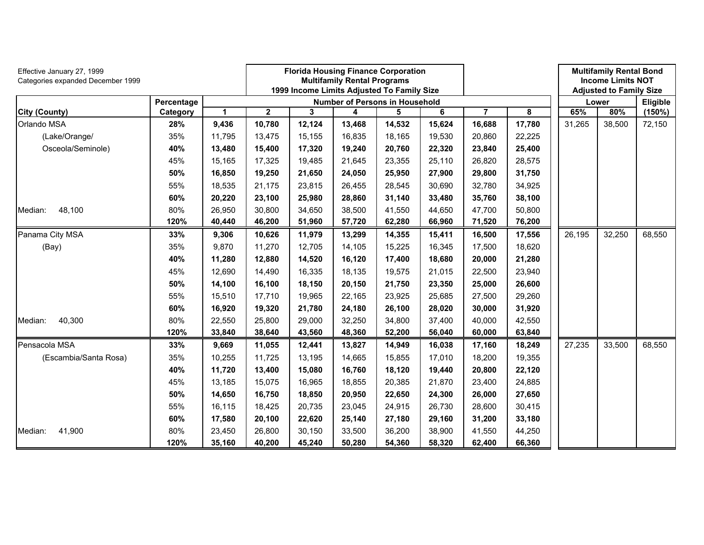| Effective January 27, 1999<br>Categories expanded December 1999 |            |              |              |        | <b>Florida Housing Finance Corporation</b><br><b>Multifamily Rental Programs</b><br>1999 Income Limits Adjusted To Family Size |        |        |        |        |        | <b>Multifamily Rental Bond</b><br><b>Income Limits NOT</b><br><b>Adjusted to Family Size</b> |           |
|-----------------------------------------------------------------|------------|--------------|--------------|--------|--------------------------------------------------------------------------------------------------------------------------------|--------|--------|--------|--------|--------|----------------------------------------------------------------------------------------------|-----------|
|                                                                 | Percentage |              |              |        | <b>Number of Persons in Household</b>                                                                                          |        |        |        |        |        | Lower                                                                                        | Eligible  |
| <b>City (County)</b>                                            | Category   | $\mathbf{1}$ | $\mathbf{2}$ | 3      | 4                                                                                                                              | 5      | 6      | 7      | 8      | 65%    | 80%                                                                                          | $(150\%)$ |
| Orlando MSA                                                     | 28%        | 9,436        | 10,780       | 12,124 | 13,468                                                                                                                         | 14,532 | 15,624 | 16,688 | 17,780 | 31,265 | 38,500                                                                                       | 72,150    |
| (Lake/Orange/                                                   | 35%        | 11,795       | 13,475       | 15,155 | 16,835                                                                                                                         | 18,165 | 19,530 | 20,860 | 22,225 |        |                                                                                              |           |
| Osceola/Seminole)                                               | 40%        | 13,480       | 15,400       | 17,320 | 19,240                                                                                                                         | 20,760 | 22,320 | 23,840 | 25,400 |        |                                                                                              |           |
|                                                                 | 45%        | 15,165       | 17,325       | 19,485 | 21,645                                                                                                                         | 23,355 | 25,110 | 26,820 | 28,575 |        |                                                                                              |           |
|                                                                 | 50%        | 16,850       | 19,250       | 21,650 | 24,050                                                                                                                         | 25,950 | 27,900 | 29,800 | 31,750 |        |                                                                                              |           |
|                                                                 | 55%        | 18,535       | 21,175       | 23,815 | 26,455                                                                                                                         | 28,545 | 30,690 | 32,780 | 34,925 |        |                                                                                              |           |
|                                                                 | 60%        | 20,220       | 23,100       | 25,980 | 28,860                                                                                                                         | 31,140 | 33,480 | 35,760 | 38,100 |        |                                                                                              |           |
| 48,100<br>Median:                                               | 80%        | 26,950       | 30,800       | 34,650 | 38,500                                                                                                                         | 41,550 | 44,650 | 47,700 | 50,800 |        |                                                                                              |           |
|                                                                 | 120%       | 40,440       | 46,200       | 51,960 | 57,720                                                                                                                         | 62,280 | 66,960 | 71,520 | 76,200 |        |                                                                                              |           |
| Panama City MSA                                                 | 33%        | 9,306        | 10,626       | 11,979 | 13,299                                                                                                                         | 14,355 | 15,411 | 16,500 | 17,556 | 26,195 | 32,250                                                                                       | 68,550    |
| (Bay)                                                           | 35%        | 9,870        | 11,270       | 12,705 | 14,105                                                                                                                         | 15,225 | 16,345 | 17,500 | 18,620 |        |                                                                                              |           |
|                                                                 | 40%        | 11,280       | 12,880       | 14,520 | 16,120                                                                                                                         | 17,400 | 18,680 | 20,000 | 21,280 |        |                                                                                              |           |
|                                                                 | 45%        | 12,690       | 14,490       | 16,335 | 18,135                                                                                                                         | 19,575 | 21,015 | 22,500 | 23,940 |        |                                                                                              |           |
|                                                                 | 50%        | 14,100       | 16,100       | 18,150 | 20,150                                                                                                                         | 21,750 | 23,350 | 25,000 | 26,600 |        |                                                                                              |           |
|                                                                 | 55%        | 15,510       | 17,710       | 19,965 | 22,165                                                                                                                         | 23,925 | 25,685 | 27,500 | 29,260 |        |                                                                                              |           |
|                                                                 | 60%        | 16,920       | 19,320       | 21,780 | 24,180                                                                                                                         | 26,100 | 28,020 | 30,000 | 31,920 |        |                                                                                              |           |
| 40,300<br>Median:                                               | 80%        | 22,550       | 25,800       | 29,000 | 32,250                                                                                                                         | 34,800 | 37,400 | 40,000 | 42,550 |        |                                                                                              |           |
|                                                                 | 120%       | 33,840       | 38,640       | 43,560 | 48,360                                                                                                                         | 52,200 | 56,040 | 60,000 | 63,840 |        |                                                                                              |           |
| Pensacola MSA                                                   | 33%        | 9,669        | 11,055       | 12,441 | 13,827                                                                                                                         | 14,949 | 16,038 | 17,160 | 18,249 | 27,235 | 33,500                                                                                       | 68,550    |
| (Escambia/Santa Rosa)                                           | 35%        | 10,255       | 11,725       | 13,195 | 14,665                                                                                                                         | 15,855 | 17,010 | 18,200 | 19,355 |        |                                                                                              |           |
|                                                                 | 40%        | 11,720       | 13,400       | 15,080 | 16,760                                                                                                                         | 18,120 | 19,440 | 20,800 | 22,120 |        |                                                                                              |           |
|                                                                 | 45%        | 13,185       | 15,075       | 16,965 | 18,855                                                                                                                         | 20,385 | 21,870 | 23,400 | 24,885 |        |                                                                                              |           |
|                                                                 | 50%        | 14,650       | 16,750       | 18,850 | 20,950                                                                                                                         | 22,650 | 24,300 | 26,000 | 27,650 |        |                                                                                              |           |
|                                                                 | 55%        | 16,115       | 18,425       | 20,735 | 23,045                                                                                                                         | 24,915 | 26,730 | 28,600 | 30,415 |        |                                                                                              |           |
|                                                                 | 60%        | 17,580       | 20,100       | 22,620 | 25,140                                                                                                                         | 27,180 | 29,160 | 31,200 | 33,180 |        |                                                                                              |           |
| 41,900<br>Median:                                               | 80%        | 23,450       | 26,800       | 30,150 | 33,500                                                                                                                         | 36,200 | 38,900 | 41,550 | 44,250 |        |                                                                                              |           |
|                                                                 | 120%       | 35,160       | 40,200       | 45,240 | 50,280                                                                                                                         | 54,360 | 58,320 | 62,400 | 66,360 |        |                                                                                              |           |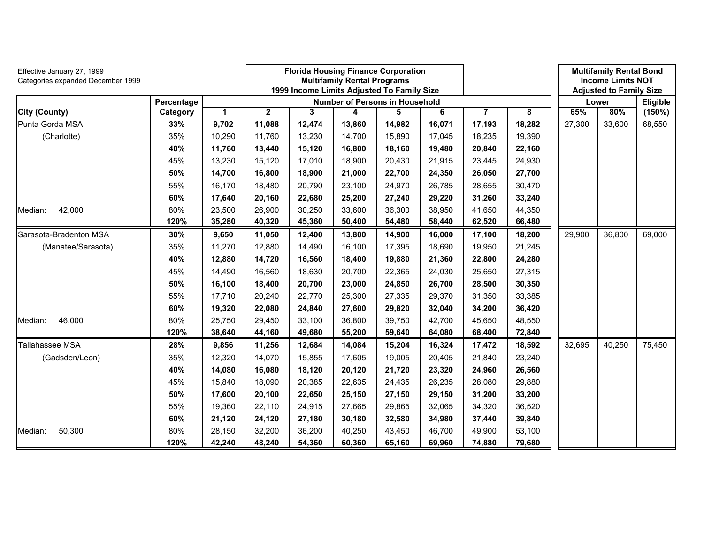| Effective January 27, 1999<br>Categories expanded December 1999 |            |             |              | <b>Florida Housing Finance Corporation</b><br><b>Multifamily Rental Programs</b><br>1999 Income Limits Adjusted To Family Size |                                       |        |        |        |        | <b>Multifamily Rental Bond</b><br><b>Income Limits NOT</b><br><b>Adjusted to Family Size</b> |        |          |
|-----------------------------------------------------------------|------------|-------------|--------------|--------------------------------------------------------------------------------------------------------------------------------|---------------------------------------|--------|--------|--------|--------|----------------------------------------------------------------------------------------------|--------|----------|
|                                                                 | Percentage |             |              |                                                                                                                                | <b>Number of Persons in Household</b> |        |        |        |        |                                                                                              | Lower  | Eligible |
| <b>City (County)</b>                                            | Category   | $\mathbf 1$ | $\mathbf{2}$ | 3                                                                                                                              | 4                                     | 5      | 6      | 7      | 8      | 65%                                                                                          | 80%    | (150%)   |
| Punta Gorda MSA                                                 | 33%        | 9,702       | 11,088       | 12,474                                                                                                                         | 13,860                                | 14,982 | 16,071 | 17,193 | 18,282 | 27,300                                                                                       | 33,600 | 68,550   |
| (Charlotte)                                                     | 35%        | 10,290      | 11,760       | 13,230                                                                                                                         | 14,700                                | 15,890 | 17,045 | 18,235 | 19,390 |                                                                                              |        |          |
|                                                                 | 40%        | 11,760      | 13,440       | 15,120                                                                                                                         | 16,800                                | 18,160 | 19,480 | 20,840 | 22,160 |                                                                                              |        |          |
|                                                                 | 45%        | 13,230      | 15,120       | 17,010                                                                                                                         | 18,900                                | 20,430 | 21,915 | 23,445 | 24,930 |                                                                                              |        |          |
|                                                                 | 50%        | 14,700      | 16,800       | 18,900                                                                                                                         | 21,000                                | 22,700 | 24,350 | 26,050 | 27,700 |                                                                                              |        |          |
|                                                                 | 55%        | 16,170      | 18,480       | 20,790                                                                                                                         | 23,100                                | 24,970 | 26,785 | 28,655 | 30,470 |                                                                                              |        |          |
|                                                                 | 60%        | 17,640      | 20,160       | 22,680                                                                                                                         | 25,200                                | 27,240 | 29,220 | 31,260 | 33,240 |                                                                                              |        |          |
| 42,000<br>Median:                                               | 80%        | 23,500      | 26,900       | 30,250                                                                                                                         | 33,600                                | 36,300 | 38,950 | 41,650 | 44,350 |                                                                                              |        |          |
|                                                                 | 120%       | 35,280      | 40,320       | 45,360                                                                                                                         | 50,400                                | 54,480 | 58,440 | 62,520 | 66,480 |                                                                                              |        |          |
| Sarasota-Bradenton MSA                                          | 30%        | 9,650       | 11,050       | 12,400                                                                                                                         | 13,800                                | 14,900 | 16,000 | 17,100 | 18,200 | 29,900                                                                                       | 36,800 | 69,000   |
| (Manatee/Sarasota)                                              | 35%        | 11,270      | 12,880       | 14,490                                                                                                                         | 16,100                                | 17,395 | 18,690 | 19,950 | 21,245 |                                                                                              |        |          |
|                                                                 | 40%        | 12,880      | 14,720       | 16,560                                                                                                                         | 18,400                                | 19,880 | 21,360 | 22,800 | 24,280 |                                                                                              |        |          |
|                                                                 | 45%        | 14,490      | 16,560       | 18,630                                                                                                                         | 20,700                                | 22,365 | 24,030 | 25,650 | 27,315 |                                                                                              |        |          |
|                                                                 | 50%        | 16,100      | 18,400       | 20,700                                                                                                                         | 23,000                                | 24,850 | 26,700 | 28,500 | 30,350 |                                                                                              |        |          |
|                                                                 | 55%        | 17,710      | 20,240       | 22,770                                                                                                                         | 25,300                                | 27,335 | 29,370 | 31,350 | 33,385 |                                                                                              |        |          |
|                                                                 | 60%        | 19,320      | 22,080       | 24,840                                                                                                                         | 27,600                                | 29,820 | 32,040 | 34,200 | 36,420 |                                                                                              |        |          |
| 46,000<br>Median:                                               | 80%        | 25,750      | 29,450       | 33,100                                                                                                                         | 36,800                                | 39,750 | 42,700 | 45,650 | 48,550 |                                                                                              |        |          |
|                                                                 | 120%       | 38,640      | 44,160       | 49,680                                                                                                                         | 55,200                                | 59,640 | 64,080 | 68,400 | 72,840 |                                                                                              |        |          |
| Tallahassee MSA                                                 | 28%        | 9,856       | 11,256       | 12,684                                                                                                                         | 14,084                                | 15,204 | 16,324 | 17,472 | 18,592 | 32,695                                                                                       | 40,250 | 75,450   |
| (Gadsden/Leon)                                                  | 35%        | 12,320      | 14,070       | 15,855                                                                                                                         | 17,605                                | 19,005 | 20,405 | 21,840 | 23,240 |                                                                                              |        |          |
|                                                                 | 40%        | 14,080      | 16,080       | 18,120                                                                                                                         | 20,120                                | 21,720 | 23,320 | 24,960 | 26,560 |                                                                                              |        |          |
|                                                                 | 45%        | 15,840      | 18,090       | 20,385                                                                                                                         | 22,635                                | 24,435 | 26,235 | 28,080 | 29,880 |                                                                                              |        |          |
|                                                                 | 50%        | 17,600      | 20,100       | 22,650                                                                                                                         | 25,150                                | 27,150 | 29,150 | 31,200 | 33,200 |                                                                                              |        |          |
|                                                                 | 55%        | 19,360      | 22,110       | 24,915                                                                                                                         | 27,665                                | 29,865 | 32,065 | 34,320 | 36,520 |                                                                                              |        |          |
|                                                                 | 60%        | 21,120      | 24,120       | 27,180                                                                                                                         | 30,180                                | 32,580 | 34,980 | 37,440 | 39,840 |                                                                                              |        |          |
| Median:<br>50,300                                               | 80%        | 28,150      | 32,200       | 36,200                                                                                                                         | 40,250                                | 43,450 | 46.700 | 49,900 | 53,100 |                                                                                              |        |          |
|                                                                 | 120%       | 42,240      | 48,240       | 54,360                                                                                                                         | 60,360                                | 65,160 | 69,960 | 74,880 | 79,680 |                                                                                              |        |          |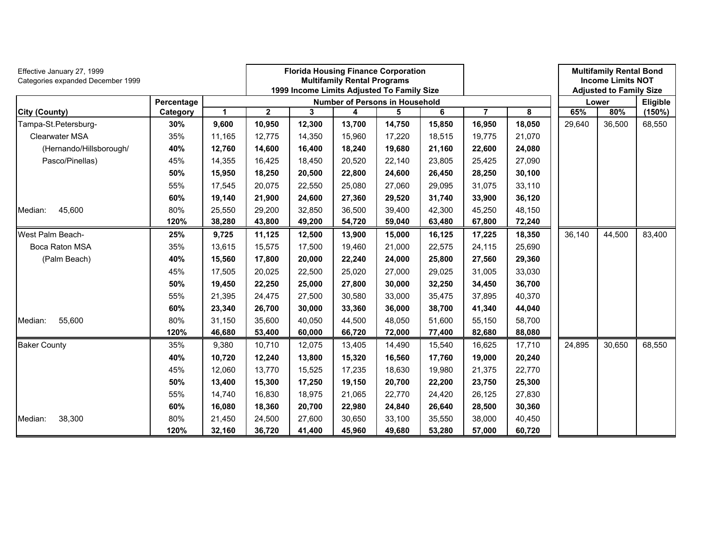| Effective January 27, 1999<br>Categories expanded December 1999 |            |              |             |        | <b>Florida Housing Finance Corporation</b><br><b>Multifamily Rental Programs</b><br>1999 Income Limits Adjusted To Family Size |        |        |        |        |        | <b>Multifamily Rental Bond</b><br><b>Income Limits NOT</b><br><b>Adjusted to Family Size</b> |           |
|-----------------------------------------------------------------|------------|--------------|-------------|--------|--------------------------------------------------------------------------------------------------------------------------------|--------|--------|--------|--------|--------|----------------------------------------------------------------------------------------------|-----------|
|                                                                 | Percentage |              |             |        | <b>Number of Persons in Household</b>                                                                                          |        |        |        |        |        | Lower                                                                                        | Eligible  |
| <b>City (County)</b>                                            | Category   | $\mathbf{1}$ | $\mathbf 2$ | 3      | 4                                                                                                                              | 5      | 6      | 7      | 8      | 65%    | 80%                                                                                          | $(150\%)$ |
| Tampa-St.Petersburg-                                            | 30%        | 9,600        | 10,950      | 12,300 | 13,700                                                                                                                         | 14,750 | 15,850 | 16,950 | 18,050 | 29,640 | 36,500                                                                                       | 68,550    |
| Clearwater MSA                                                  | 35%        | 11,165       | 12,775      | 14,350 | 15,960                                                                                                                         | 17,220 | 18,515 | 19,775 | 21,070 |        |                                                                                              |           |
| (Hernando/Hillsborough/                                         | 40%        | 12,760       | 14,600      | 16,400 | 18,240                                                                                                                         | 19,680 | 21,160 | 22,600 | 24,080 |        |                                                                                              |           |
| Pasco/Pinellas)                                                 | 45%        | 14,355       | 16,425      | 18,450 | 20,520                                                                                                                         | 22,140 | 23,805 | 25,425 | 27,090 |        |                                                                                              |           |
|                                                                 | 50%        | 15,950       | 18,250      | 20,500 | 22,800                                                                                                                         | 24,600 | 26,450 | 28,250 | 30,100 |        |                                                                                              |           |
|                                                                 | 55%        | 17,545       | 20,075      | 22,550 | 25,080                                                                                                                         | 27,060 | 29,095 | 31,075 | 33,110 |        |                                                                                              |           |
|                                                                 | 60%        | 19,140       | 21,900      | 24,600 | 27,360                                                                                                                         | 29,520 | 31,740 | 33,900 | 36,120 |        |                                                                                              |           |
| 45,600<br>Median:                                               | 80%        | 25,550       | 29,200      | 32,850 | 36,500                                                                                                                         | 39,400 | 42,300 | 45,250 | 48,150 |        |                                                                                              |           |
|                                                                 | 120%       | 38,280       | 43,800      | 49,200 | 54,720                                                                                                                         | 59,040 | 63,480 | 67,800 | 72,240 |        |                                                                                              |           |
| West Palm Beach-                                                | 25%        | 9,725        | 11,125      | 12,500 | 13,900                                                                                                                         | 15,000 | 16,125 | 17,225 | 18,350 | 36,140 | 44,500                                                                                       | 83,400    |
| Boca Raton MSA                                                  | 35%        | 13,615       | 15,575      | 17,500 | 19,460                                                                                                                         | 21,000 | 22,575 | 24,115 | 25,690 |        |                                                                                              |           |
| (Palm Beach)                                                    | 40%        | 15,560       | 17,800      | 20,000 | 22,240                                                                                                                         | 24,000 | 25,800 | 27,560 | 29,360 |        |                                                                                              |           |
|                                                                 | 45%        | 17,505       | 20,025      | 22,500 | 25,020                                                                                                                         | 27,000 | 29,025 | 31,005 | 33,030 |        |                                                                                              |           |
|                                                                 | 50%        | 19,450       | 22,250      | 25,000 | 27,800                                                                                                                         | 30,000 | 32,250 | 34,450 | 36,700 |        |                                                                                              |           |
|                                                                 | 55%        | 21,395       | 24,475      | 27,500 | 30,580                                                                                                                         | 33,000 | 35,475 | 37,895 | 40,370 |        |                                                                                              |           |
|                                                                 | 60%        | 23,340       | 26,700      | 30,000 | 33,360                                                                                                                         | 36,000 | 38,700 | 41,340 | 44,040 |        |                                                                                              |           |
| Median:<br>55,600                                               | 80%        | 31,150       | 35,600      | 40,050 | 44,500                                                                                                                         | 48,050 | 51,600 | 55,150 | 58,700 |        |                                                                                              |           |
|                                                                 | 120%       | 46,680       | 53,400      | 60,000 | 66,720                                                                                                                         | 72,000 | 77,400 | 82,680 | 88,080 |        |                                                                                              |           |
| <b>Baker County</b>                                             | 35%        | 9,380        | 10,710      | 12,075 | 13,405                                                                                                                         | 14,490 | 15,540 | 16,625 | 17,710 | 24,895 | 30,650                                                                                       | 68,550    |
|                                                                 | 40%        | 10,720       | 12,240      | 13,800 | 15,320                                                                                                                         | 16,560 | 17,760 | 19,000 | 20,240 |        |                                                                                              |           |
|                                                                 | 45%        | 12,060       | 13,770      | 15,525 | 17,235                                                                                                                         | 18,630 | 19,980 | 21,375 | 22,770 |        |                                                                                              |           |
|                                                                 | 50%        | 13,400       | 15,300      | 17,250 | 19,150                                                                                                                         | 20,700 | 22,200 | 23,750 | 25,300 |        |                                                                                              |           |
|                                                                 | 55%        | 14,740       | 16,830      | 18,975 | 21,065                                                                                                                         | 22,770 | 24,420 | 26,125 | 27,830 |        |                                                                                              |           |
|                                                                 | 60%        | 16,080       | 18,360      | 20,700 | 22,980                                                                                                                         | 24,840 | 26,640 | 28,500 | 30,360 |        |                                                                                              |           |
| Median:<br>38,300                                               | 80%        | 21,450       | 24,500      | 27,600 | 30,650                                                                                                                         | 33,100 | 35,550 | 38,000 | 40,450 |        |                                                                                              |           |
|                                                                 | 120%       | 32,160       | 36,720      | 41,400 | 45,960                                                                                                                         | 49,680 | 53,280 | 57,000 | 60,720 |        |                                                                                              |           |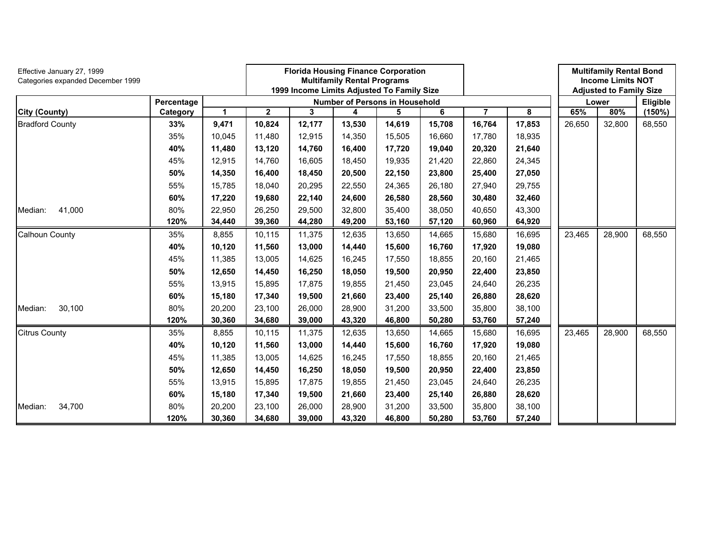| Effective January 27, 1999<br>Categories expanded December 1999 |            |              |                         |        | <b>Multifamily Rental Programs</b> | <b>Florida Housing Finance Corporation</b><br>1999 Income Limits Adjusted To Family Size |        |                |        |        | <b>Multifamily Rental Bond</b><br><b>Income Limits NOT</b><br><b>Adjusted to Family Size</b> |          |
|-----------------------------------------------------------------|------------|--------------|-------------------------|--------|------------------------------------|------------------------------------------------------------------------------------------|--------|----------------|--------|--------|----------------------------------------------------------------------------------------------|----------|
|                                                                 | Percentage |              |                         |        |                                    | <b>Number of Persons in Household</b>                                                    |        |                |        |        | Lower                                                                                        | Eligible |
| <b>City (County)</b>                                            | Category   | $\mathbf{1}$ | $\overline{\mathbf{2}}$ | 3      | 4                                  | 5                                                                                        | 6      | $\overline{7}$ | 8      | 65%    | 80%                                                                                          | (150%)   |
| <b>Bradford County</b>                                          | 33%        | 9,471        | 10,824                  | 12,177 | 13,530                             | 14,619                                                                                   | 15,708 | 16,764         | 17,853 | 26,650 | 32,800                                                                                       | 68,550   |
|                                                                 | 35%        | 10,045       | 11,480                  | 12,915 | 14,350                             | 15,505                                                                                   | 16,660 | 17,780         | 18,935 |        |                                                                                              |          |
|                                                                 | 40%        | 11,480       | 13,120                  | 14,760 | 16,400                             | 17,720                                                                                   | 19,040 | 20,320         | 21,640 |        |                                                                                              |          |
|                                                                 | 45%        | 12,915       | 14,760                  | 16,605 | 18,450                             | 19,935                                                                                   | 21,420 | 22,860         | 24,345 |        |                                                                                              |          |
|                                                                 | 50%        | 14,350       | 16,400                  | 18,450 | 20,500                             | 22,150                                                                                   | 23,800 | 25,400         | 27,050 |        |                                                                                              |          |
|                                                                 | 55%        | 15,785       | 18,040                  | 20,295 | 22,550                             | 24,365                                                                                   | 26,180 | 27,940         | 29,755 |        |                                                                                              |          |
|                                                                 | 60%        | 17,220       | 19,680                  | 22,140 | 24,600                             | 26,580                                                                                   | 28,560 | 30,480         | 32,460 |        |                                                                                              |          |
| 41,000<br>Median:                                               | 80%        | 22,950       | 26,250                  | 29,500 | 32,800                             | 35,400                                                                                   | 38,050 | 40,650         | 43,300 |        |                                                                                              |          |
|                                                                 | 120%       | 34,440       | 39,360                  | 44,280 | 49,200                             | 53,160                                                                                   | 57,120 | 60,960         | 64,920 |        |                                                                                              |          |
| <b>Calhoun County</b>                                           | 35%        | 8,855        | 10,115                  | 11,375 | 12,635                             | 13,650                                                                                   | 14,665 | 15,680         | 16,695 | 23,465 | 28,900                                                                                       | 68,550   |
|                                                                 | 40%        | 10,120       | 11,560                  | 13,000 | 14,440                             | 15,600                                                                                   | 16,760 | 17,920         | 19,080 |        |                                                                                              |          |
|                                                                 | 45%        | 11,385       | 13,005                  | 14,625 | 16,245                             | 17,550                                                                                   | 18,855 | 20,160         | 21,465 |        |                                                                                              |          |
|                                                                 | 50%        | 12,650       | 14,450                  | 16,250 | 18,050                             | 19,500                                                                                   | 20,950 | 22,400         | 23,850 |        |                                                                                              |          |
|                                                                 | 55%        | 13,915       | 15,895                  | 17,875 | 19,855                             | 21,450                                                                                   | 23,045 | 24,640         | 26,235 |        |                                                                                              |          |
|                                                                 | 60%        | 15,180       | 17,340                  | 19,500 | 21,660                             | 23,400                                                                                   | 25,140 | 26,880         | 28,620 |        |                                                                                              |          |
| 30,100<br>Median:                                               | 80%        | 20,200       | 23,100                  | 26,000 | 28,900                             | 31,200                                                                                   | 33,500 | 35,800         | 38,100 |        |                                                                                              |          |
|                                                                 | 120%       | 30,360       | 34,680                  | 39,000 | 43,320                             | 46,800                                                                                   | 50,280 | 53,760         | 57,240 |        |                                                                                              |          |
| <b>Citrus County</b>                                            | 35%        | 8,855        | 10,115                  | 11,375 | 12,635                             | 13,650                                                                                   | 14,665 | 15,680         | 16,695 | 23,465 | 28,900                                                                                       | 68,550   |
|                                                                 | 40%        | 10,120       | 11,560                  | 13,000 | 14,440                             | 15,600                                                                                   | 16,760 | 17,920         | 19,080 |        |                                                                                              |          |
|                                                                 | 45%        | 11,385       | 13,005                  | 14,625 | 16,245                             | 17,550                                                                                   | 18,855 | 20,160         | 21,465 |        |                                                                                              |          |
|                                                                 | 50%        | 12,650       | 14,450                  | 16,250 | 18,050                             | 19,500                                                                                   | 20,950 | 22,400         | 23,850 |        |                                                                                              |          |
|                                                                 | 55%        | 13,915       | 15,895                  | 17,875 | 19,855                             | 21,450                                                                                   | 23,045 | 24,640         | 26,235 |        |                                                                                              |          |
|                                                                 | 60%        | 15,180       | 17,340                  | 19,500 | 21,660                             | 23,400                                                                                   | 25,140 | 26,880         | 28,620 |        |                                                                                              |          |
| 34,700<br>Median:                                               | 80%        | 20,200       | 23,100                  | 26,000 | 28,900                             | 31,200                                                                                   | 33,500 | 35,800         | 38,100 |        |                                                                                              |          |
|                                                                 | 120%       | 30,360       | 34,680                  | 39,000 | 43,320                             | 46,800                                                                                   | 50,280 | 53,760         | 57,240 |        |                                                                                              |          |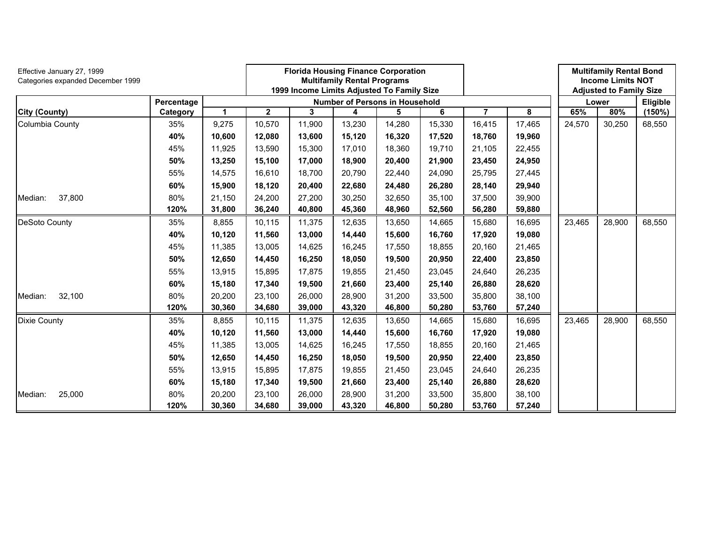| Effective January 27, 1999<br>Categories expanded December 1999 |            |              |              |        | <b>Florida Housing Finance Corporation</b><br><b>Multifamily Rental Programs</b><br>1999 Income Limits Adjusted To Family Size |        |        |        |        |        | <b>Multifamily Rental Bond</b><br><b>Income Limits NOT</b><br><b>Adjusted to Family Size</b> |          |
|-----------------------------------------------------------------|------------|--------------|--------------|--------|--------------------------------------------------------------------------------------------------------------------------------|--------|--------|--------|--------|--------|----------------------------------------------------------------------------------------------|----------|
|                                                                 | Percentage |              |              |        | <b>Number of Persons in Household</b>                                                                                          |        |        |        |        |        | Lower                                                                                        | Eligible |
| <b>City (County)</b>                                            | Category   | $\mathbf{1}$ | $\mathbf{2}$ | 3      | 4                                                                                                                              | 5      | 6      | 7      | 8      | 65%    | 80%                                                                                          | (150%)   |
| Columbia County                                                 | 35%        | 9,275        | 10,570       | 11,900 | 13,230                                                                                                                         | 14,280 | 15,330 | 16,415 | 17,465 | 24,570 | 30,250                                                                                       | 68,550   |
|                                                                 | 40%        | 10,600       | 12,080       | 13,600 | 15,120                                                                                                                         | 16,320 | 17,520 | 18,760 | 19,960 |        |                                                                                              |          |
|                                                                 | 45%        | 11,925       | 13,590       | 15,300 | 17,010                                                                                                                         | 18,360 | 19,710 | 21,105 | 22,455 |        |                                                                                              |          |
|                                                                 | 50%        | 13,250       | 15,100       | 17,000 | 18,900                                                                                                                         | 20,400 | 21,900 | 23,450 | 24,950 |        |                                                                                              |          |
|                                                                 | 55%        | 14,575       | 16,610       | 18,700 | 20,790                                                                                                                         | 22,440 | 24,090 | 25,795 | 27,445 |        |                                                                                              |          |
|                                                                 | 60%        | 15,900       | 18,120       | 20,400 | 22,680                                                                                                                         | 24,480 | 26,280 | 28,140 | 29,940 |        |                                                                                              |          |
| 37,800<br>Median:                                               | 80%        | 21,150       | 24,200       | 27,200 | 30,250                                                                                                                         | 32,650 | 35,100 | 37,500 | 39,900 |        |                                                                                              |          |
|                                                                 | 120%       | 31,800       | 36,240       | 40,800 | 45,360                                                                                                                         | 48,960 | 52,560 | 56,280 | 59,880 |        |                                                                                              |          |
| DeSoto County                                                   | 35%        | 8,855        | 10,115       | 11,375 | 12,635                                                                                                                         | 13,650 | 14,665 | 15,680 | 16,695 | 23,465 | 28,900                                                                                       | 68,550   |
|                                                                 | 40%        | 10,120       | 11,560       | 13,000 | 14,440                                                                                                                         | 15,600 | 16,760 | 17,920 | 19,080 |        |                                                                                              |          |
|                                                                 | 45%        | 11,385       | 13,005       | 14,625 | 16,245                                                                                                                         | 17,550 | 18,855 | 20,160 | 21,465 |        |                                                                                              |          |
|                                                                 | 50%        | 12,650       | 14,450       | 16,250 | 18,050                                                                                                                         | 19,500 | 20,950 | 22,400 | 23,850 |        |                                                                                              |          |
|                                                                 | 55%        | 13,915       | 15,895       | 17,875 | 19,855                                                                                                                         | 21,450 | 23,045 | 24,640 | 26,235 |        |                                                                                              |          |
|                                                                 | 60%        | 15,180       | 17,340       | 19,500 | 21,660                                                                                                                         | 23,400 | 25,140 | 26,880 | 28,620 |        |                                                                                              |          |
| 32,100<br>Median:                                               | 80%        | 20,200       | 23,100       | 26,000 | 28,900                                                                                                                         | 31,200 | 33,500 | 35,800 | 38,100 |        |                                                                                              |          |
|                                                                 | 120%       | 30,360       | 34,680       | 39,000 | 43,320                                                                                                                         | 46,800 | 50,280 | 53,760 | 57,240 |        |                                                                                              |          |
| <b>Dixie County</b>                                             | 35%        | 8,855        | 10,115       | 11,375 | 12,635                                                                                                                         | 13,650 | 14,665 | 15,680 | 16,695 | 23,465 | 28,900                                                                                       | 68,550   |
|                                                                 | 40%        | 10,120       | 11,560       | 13,000 | 14,440                                                                                                                         | 15,600 | 16,760 | 17,920 | 19,080 |        |                                                                                              |          |
|                                                                 | 45%        | 11,385       | 13,005       | 14,625 | 16,245                                                                                                                         | 17,550 | 18,855 | 20,160 | 21,465 |        |                                                                                              |          |
|                                                                 | 50%        | 12,650       | 14,450       | 16,250 | 18,050                                                                                                                         | 19,500 | 20,950 | 22,400 | 23,850 |        |                                                                                              |          |
|                                                                 | 55%        | 13,915       | 15.895       | 17,875 | 19,855                                                                                                                         | 21,450 | 23,045 | 24,640 | 26,235 |        |                                                                                              |          |
|                                                                 | 60%        | 15,180       | 17,340       | 19,500 | 21,660                                                                                                                         | 23,400 | 25,140 | 26,880 | 28,620 |        |                                                                                              |          |
| 25,000<br>Median:                                               | 80%        | 20,200       | 23,100       | 26,000 | 28,900                                                                                                                         | 31,200 | 33,500 | 35,800 | 38,100 |        |                                                                                              |          |
|                                                                 | 120%       | 30,360       | 34,680       | 39,000 | 43,320                                                                                                                         | 46,800 | 50,280 | 53,760 | 57,240 |        |                                                                                              |          |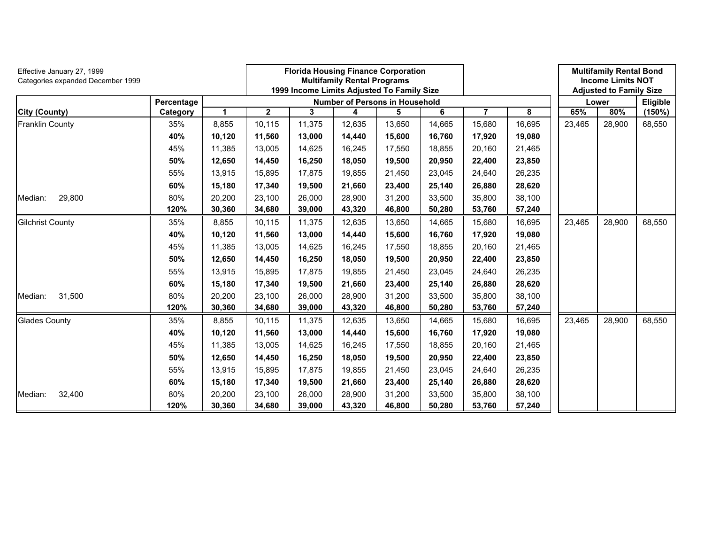| Effective January 27, 1999<br>Categories expanded December 1999 |            |        |              | <b>Florida Housing Finance Corporation</b><br><b>Multifamily Rental Programs</b><br>1999 Income Limits Adjusted To Family Size<br><b>Number of Persons in Household</b> |        |        |        |                |        |        | <b>Multifamily Rental Bond</b><br><b>Income Limits NOT</b><br><b>Adjusted to Family Size</b> |          |
|-----------------------------------------------------------------|------------|--------|--------------|-------------------------------------------------------------------------------------------------------------------------------------------------------------------------|--------|--------|--------|----------------|--------|--------|----------------------------------------------------------------------------------------------|----------|
|                                                                 | Percentage |        |              |                                                                                                                                                                         |        |        |        |                |        |        | Lower                                                                                        | Eligible |
| <b>City (County)</b>                                            | Category   | 1      | $\mathbf{2}$ | 3                                                                                                                                                                       | 4      | 5      | 6      | $\overline{7}$ | 8      | 65%    | 80%                                                                                          | (150%)   |
| <b>Franklin County</b>                                          | 35%        | 8,855  | 10,115       | 11,375                                                                                                                                                                  | 12,635 | 13,650 | 14,665 | 15,680         | 16,695 | 23,465 | 28,900                                                                                       | 68,550   |
|                                                                 | 40%        | 10,120 | 11,560       | 13,000                                                                                                                                                                  | 14,440 | 15,600 | 16,760 | 17,920         | 19,080 |        |                                                                                              |          |
|                                                                 | 45%        | 11,385 | 13,005       | 14,625                                                                                                                                                                  | 16,245 | 17,550 | 18,855 | 20,160         | 21,465 |        |                                                                                              |          |
|                                                                 | 50%        | 12,650 | 14,450       | 16,250                                                                                                                                                                  | 18,050 | 19,500 | 20,950 | 22,400         | 23,850 |        |                                                                                              |          |
|                                                                 | 55%        | 13,915 | 15,895       | 17,875                                                                                                                                                                  | 19,855 | 21,450 | 23,045 | 24,640         | 26,235 |        |                                                                                              |          |
|                                                                 | 60%        | 15,180 | 17,340       | 19,500                                                                                                                                                                  | 21,660 | 23,400 | 25,140 | 26,880         | 28,620 |        |                                                                                              |          |
| 29,800<br>Median:                                               | 80%        | 20,200 | 23,100       | 26,000                                                                                                                                                                  | 28,900 | 31,200 | 33,500 | 35,800         | 38,100 |        |                                                                                              |          |
|                                                                 | 120%       | 30,360 | 34,680       | 39,000                                                                                                                                                                  | 43,320 | 46,800 | 50,280 | 53,760         | 57,240 |        |                                                                                              |          |
| <b>Gilchrist County</b>                                         | 35%        | 8,855  | 10,115       | 11,375                                                                                                                                                                  | 12,635 | 13,650 | 14,665 | 15,680         | 16,695 | 23,465 | 28,900                                                                                       | 68,550   |
|                                                                 | 40%        | 10,120 | 11,560       | 13,000                                                                                                                                                                  | 14,440 | 15,600 | 16,760 | 17,920         | 19,080 |        |                                                                                              |          |
|                                                                 | 45%        | 11,385 | 13,005       | 14,625                                                                                                                                                                  | 16,245 | 17,550 | 18,855 | 20,160         | 21,465 |        |                                                                                              |          |
|                                                                 | 50%        | 12,650 | 14,450       | 16,250                                                                                                                                                                  | 18,050 | 19,500 | 20,950 | 22,400         | 23,850 |        |                                                                                              |          |
|                                                                 | 55%        | 13,915 | 15,895       | 17,875                                                                                                                                                                  | 19,855 | 21,450 | 23,045 | 24,640         | 26,235 |        |                                                                                              |          |
|                                                                 | 60%        | 15,180 | 17,340       | 19,500                                                                                                                                                                  | 21,660 | 23,400 | 25,140 | 26,880         | 28,620 |        |                                                                                              |          |
| 31,500<br>Median:                                               | 80%        | 20,200 | 23,100       | 26,000                                                                                                                                                                  | 28,900 | 31,200 | 33,500 | 35,800         | 38,100 |        |                                                                                              |          |
|                                                                 | 120%       | 30,360 | 34,680       | 39,000                                                                                                                                                                  | 43,320 | 46,800 | 50,280 | 53,760         | 57,240 |        |                                                                                              |          |
| <b>Glades County</b>                                            | 35%        | 8,855  | 10,115       | 11,375                                                                                                                                                                  | 12,635 | 13,650 | 14,665 | 15,680         | 16,695 | 23,465 | 28,900                                                                                       | 68,550   |
|                                                                 | 40%        | 10,120 | 11,560       | 13,000                                                                                                                                                                  | 14,440 | 15,600 | 16,760 | 17,920         | 19,080 |        |                                                                                              |          |
|                                                                 | 45%        | 11,385 | 13,005       | 14,625                                                                                                                                                                  | 16,245 | 17,550 | 18,855 | 20,160         | 21,465 |        |                                                                                              |          |
|                                                                 | 50%        | 12,650 | 14,450       | 16,250                                                                                                                                                                  | 18,050 | 19,500 | 20,950 | 22,400         | 23,850 |        |                                                                                              |          |
|                                                                 | 55%        | 13,915 | 15,895       | 17,875                                                                                                                                                                  | 19,855 | 21,450 | 23,045 | 24,640         | 26,235 |        |                                                                                              |          |
|                                                                 | 60%        | 15,180 | 17,340       | 19,500                                                                                                                                                                  | 21,660 | 23,400 | 25,140 | 26,880         | 28,620 |        |                                                                                              |          |
| 32,400<br>Median:                                               | 80%        | 20,200 | 23,100       | 26,000                                                                                                                                                                  | 28,900 | 31,200 | 33,500 | 35,800         | 38,100 |        |                                                                                              |          |
|                                                                 | 120%       | 30,360 | 34,680       | 39,000                                                                                                                                                                  | 43,320 | 46,800 | 50,280 | 53,760         | 57,240 |        |                                                                                              |          |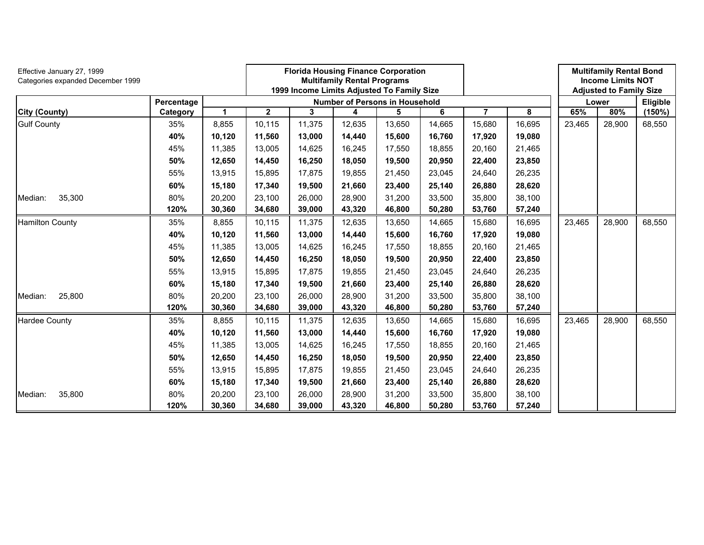| Effective January 27, 1999<br>Categories expanded December 1999 |            |              |              | <b>Florida Housing Finance Corporation</b><br><b>Multifamily Rental Programs</b><br>1999 Income Limits Adjusted To Family Size<br><b>Number of Persons in Household</b> |        |        |        |        |        |        | <b>Multifamily Rental Bond</b><br><b>Income Limits NOT</b><br><b>Adjusted to Family Size</b> |          |
|-----------------------------------------------------------------|------------|--------------|--------------|-------------------------------------------------------------------------------------------------------------------------------------------------------------------------|--------|--------|--------|--------|--------|--------|----------------------------------------------------------------------------------------------|----------|
|                                                                 | Percentage |              |              |                                                                                                                                                                         |        |        |        |        |        |        | Lower                                                                                        | Eligible |
| <b>City (County)</b>                                            | Category   | $\mathbf{1}$ | $\mathbf{2}$ | 3                                                                                                                                                                       | 4      | 5      | 6      | 7      | 8      | 65%    | 80%                                                                                          | (150%)   |
| <b>Gulf County</b>                                              | 35%        | 8,855        | 10,115       | 11,375                                                                                                                                                                  | 12,635 | 13,650 | 14,665 | 15,680 | 16,695 | 23,465 | 28,900                                                                                       | 68,550   |
|                                                                 | 40%        | 10,120       | 11,560       | 13,000                                                                                                                                                                  | 14,440 | 15,600 | 16,760 | 17,920 | 19,080 |        |                                                                                              |          |
|                                                                 | 45%        | 11,385       | 13,005       | 14,625                                                                                                                                                                  | 16,245 | 17,550 | 18,855 | 20,160 | 21,465 |        |                                                                                              |          |
|                                                                 | 50%        | 12,650       | 14,450       | 16,250                                                                                                                                                                  | 18,050 | 19,500 | 20,950 | 22,400 | 23,850 |        |                                                                                              |          |
|                                                                 | 55%        | 13,915       | 15,895       | 17,875                                                                                                                                                                  | 19,855 | 21,450 | 23,045 | 24,640 | 26,235 |        |                                                                                              |          |
|                                                                 | 60%        | 15,180       | 17,340       | 19,500                                                                                                                                                                  | 21,660 | 23,400 | 25,140 | 26,880 | 28,620 |        |                                                                                              |          |
| 35,300<br>Median:                                               | 80%        | 20,200       | 23,100       | 26,000                                                                                                                                                                  | 28,900 | 31,200 | 33,500 | 35,800 | 38,100 |        |                                                                                              |          |
|                                                                 | 120%       | 30,360       | 34,680       | 39,000                                                                                                                                                                  | 43,320 | 46,800 | 50,280 | 53,760 | 57,240 |        |                                                                                              |          |
| <b>Hamilton County</b>                                          | 35%        | 8,855        | 10,115       | 11,375                                                                                                                                                                  | 12,635 | 13,650 | 14,665 | 15,680 | 16,695 | 23,465 | 28,900                                                                                       | 68,550   |
|                                                                 | 40%        | 10,120       | 11,560       | 13,000                                                                                                                                                                  | 14,440 | 15,600 | 16,760 | 17,920 | 19,080 |        |                                                                                              |          |
|                                                                 | 45%        | 11,385       | 13,005       | 14,625                                                                                                                                                                  | 16,245 | 17,550 | 18,855 | 20,160 | 21,465 |        |                                                                                              |          |
|                                                                 | 50%        | 12,650       | 14,450       | 16,250                                                                                                                                                                  | 18,050 | 19,500 | 20,950 | 22,400 | 23,850 |        |                                                                                              |          |
|                                                                 | 55%        | 13,915       | 15,895       | 17,875                                                                                                                                                                  | 19,855 | 21,450 | 23,045 | 24,640 | 26,235 |        |                                                                                              |          |
|                                                                 | 60%        | 15,180       | 17,340       | 19,500                                                                                                                                                                  | 21,660 | 23,400 | 25,140 | 26,880 | 28,620 |        |                                                                                              |          |
| 25,800<br>Median:                                               | 80%        | 20,200       | 23,100       | 26,000                                                                                                                                                                  | 28,900 | 31,200 | 33,500 | 35,800 | 38,100 |        |                                                                                              |          |
|                                                                 | 120%       | 30,360       | 34,680       | 39,000                                                                                                                                                                  | 43,320 | 46,800 | 50,280 | 53,760 | 57,240 |        |                                                                                              |          |
| <b>Hardee County</b>                                            | 35%        | 8,855        | 10,115       | 11,375                                                                                                                                                                  | 12,635 | 13,650 | 14,665 | 15,680 | 16,695 | 23,465 | 28,900                                                                                       | 68,550   |
|                                                                 | 40%        | 10,120       | 11,560       | 13,000                                                                                                                                                                  | 14,440 | 15,600 | 16,760 | 17,920 | 19,080 |        |                                                                                              |          |
|                                                                 | 45%        | 11,385       | 13,005       | 14,625                                                                                                                                                                  | 16,245 | 17,550 | 18,855 | 20,160 | 21,465 |        |                                                                                              |          |
|                                                                 | 50%        | 12,650       | 14,450       | 16,250                                                                                                                                                                  | 18,050 | 19,500 | 20,950 | 22,400 | 23,850 |        |                                                                                              |          |
|                                                                 | 55%        | 13,915       | 15,895       | 17,875                                                                                                                                                                  | 19,855 | 21,450 | 23,045 | 24,640 | 26,235 |        |                                                                                              |          |
|                                                                 | 60%        | 15,180       | 17,340       | 19,500                                                                                                                                                                  | 21,660 | 23,400 | 25,140 | 26,880 | 28,620 |        |                                                                                              |          |
| 35,800<br>Median:                                               | 80%        | 20,200       | 23,100       | 26,000                                                                                                                                                                  | 28,900 | 31,200 | 33,500 | 35,800 | 38,100 |        |                                                                                              |          |
|                                                                 | 120%       | 30,360       | 34,680       | 39,000                                                                                                                                                                  | 43,320 | 46,800 | 50,280 | 53,760 | 57,240 |        |                                                                                              |          |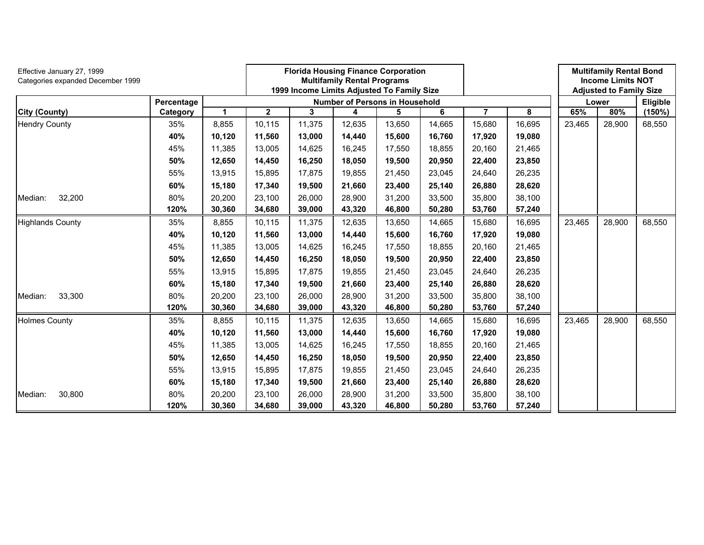| Effective January 27, 1999<br>Categories expanded December 1999 |            |        |             |        | <b>Florida Housing Finance Corporation</b><br><b>Multifamily Rental Programs</b><br>1999 Income Limits Adjusted To Family Size |        |        |        |        | <b>Multifamily Rental Bond</b><br><b>Income Limits NOT</b><br><b>Adjusted to Family Size</b> |        |          |
|-----------------------------------------------------------------|------------|--------|-------------|--------|--------------------------------------------------------------------------------------------------------------------------------|--------|--------|--------|--------|----------------------------------------------------------------------------------------------|--------|----------|
|                                                                 | Percentage |        |             |        | <b>Number of Persons in Household</b>                                                                                          |        |        |        |        |                                                                                              | Lower  | Eligible |
| <b>City (County)</b>                                            | Category   | 1      | $\mathbf 2$ | 3      | 4                                                                                                                              | 5      | 6      | 7      | 8      | 65%                                                                                          | 80%    | (150%)   |
| <b>Hendry County</b>                                            | 35%        | 8,855  | 10,115      | 11,375 | 12,635                                                                                                                         | 13,650 | 14,665 | 15,680 | 16,695 | 23,465                                                                                       | 28,900 | 68,550   |
|                                                                 | 40%        | 10,120 | 11,560      | 13,000 | 14,440                                                                                                                         | 15,600 | 16,760 | 17,920 | 19,080 |                                                                                              |        |          |
|                                                                 | 45%        | 11,385 | 13,005      | 14,625 | 16,245                                                                                                                         | 17,550 | 18,855 | 20,160 | 21,465 |                                                                                              |        |          |
|                                                                 | 50%        | 12,650 | 14,450      | 16,250 | 18,050                                                                                                                         | 19,500 | 20,950 | 22,400 | 23,850 |                                                                                              |        |          |
|                                                                 | 55%        | 13,915 | 15,895      | 17,875 | 19,855                                                                                                                         | 21,450 | 23,045 | 24,640 | 26,235 |                                                                                              |        |          |
|                                                                 | 60%        | 15,180 | 17,340      | 19,500 | 21,660                                                                                                                         | 23,400 | 25,140 | 26,880 | 28,620 |                                                                                              |        |          |
| 32,200<br>Median:                                               | 80%        | 20,200 | 23,100      | 26,000 | 28,900                                                                                                                         | 31,200 | 33,500 | 35,800 | 38,100 |                                                                                              |        |          |
|                                                                 | 120%       | 30,360 | 34,680      | 39,000 | 43,320                                                                                                                         | 46,800 | 50,280 | 53,760 | 57,240 |                                                                                              |        |          |
| <b>Highlands County</b>                                         | 35%        | 8,855  | 10,115      | 11,375 | 12,635                                                                                                                         | 13,650 | 14,665 | 15,680 | 16,695 | 23,465                                                                                       | 28,900 | 68,550   |
|                                                                 | 40%        | 10,120 | 11,560      | 13,000 | 14,440                                                                                                                         | 15,600 | 16,760 | 17,920 | 19,080 |                                                                                              |        |          |
|                                                                 | 45%        | 11,385 | 13,005      | 14,625 | 16,245                                                                                                                         | 17,550 | 18,855 | 20,160 | 21,465 |                                                                                              |        |          |
|                                                                 | 50%        | 12,650 | 14,450      | 16,250 | 18,050                                                                                                                         | 19,500 | 20,950 | 22,400 | 23,850 |                                                                                              |        |          |
|                                                                 | 55%        | 13,915 | 15,895      | 17,875 | 19,855                                                                                                                         | 21,450 | 23,045 | 24,640 | 26,235 |                                                                                              |        |          |
|                                                                 | 60%        | 15,180 | 17,340      | 19,500 | 21,660                                                                                                                         | 23,400 | 25,140 | 26,880 | 28,620 |                                                                                              |        |          |
| 33,300<br>Median:                                               | 80%        | 20,200 | 23,100      | 26,000 | 28,900                                                                                                                         | 31,200 | 33,500 | 35,800 | 38,100 |                                                                                              |        |          |
|                                                                 | 120%       | 30,360 | 34,680      | 39,000 | 43,320                                                                                                                         | 46,800 | 50,280 | 53,760 | 57,240 |                                                                                              |        |          |
| <b>Holmes County</b>                                            | 35%        | 8,855  | 10,115      | 11,375 | 12,635                                                                                                                         | 13,650 | 14,665 | 15,680 | 16,695 | 23,465                                                                                       | 28,900 | 68,550   |
|                                                                 | 40%        | 10,120 | 11,560      | 13,000 | 14,440                                                                                                                         | 15,600 | 16,760 | 17,920 | 19,080 |                                                                                              |        |          |
|                                                                 | 45%        | 11,385 | 13,005      | 14,625 | 16,245                                                                                                                         | 17,550 | 18,855 | 20,160 | 21,465 |                                                                                              |        |          |
|                                                                 | 50%        | 12,650 | 14,450      | 16,250 | 18,050                                                                                                                         | 19,500 | 20,950 | 22,400 | 23,850 |                                                                                              |        |          |
|                                                                 | 55%        | 13,915 | 15.895      | 17,875 | 19,855                                                                                                                         | 21,450 | 23,045 | 24,640 | 26,235 |                                                                                              |        |          |
|                                                                 | 60%        | 15,180 | 17,340      | 19,500 | 21,660                                                                                                                         | 23,400 | 25,140 | 26,880 | 28,620 |                                                                                              |        |          |
| 30,800<br>Median:                                               | 80%        | 20,200 | 23,100      | 26,000 | 28,900                                                                                                                         | 31,200 | 33,500 | 35,800 | 38,100 |                                                                                              |        |          |
|                                                                 | 120%       | 30,360 | 34,680      | 39,000 | 43,320                                                                                                                         | 46,800 | 50,280 | 53,760 | 57,240 |                                                                                              |        |          |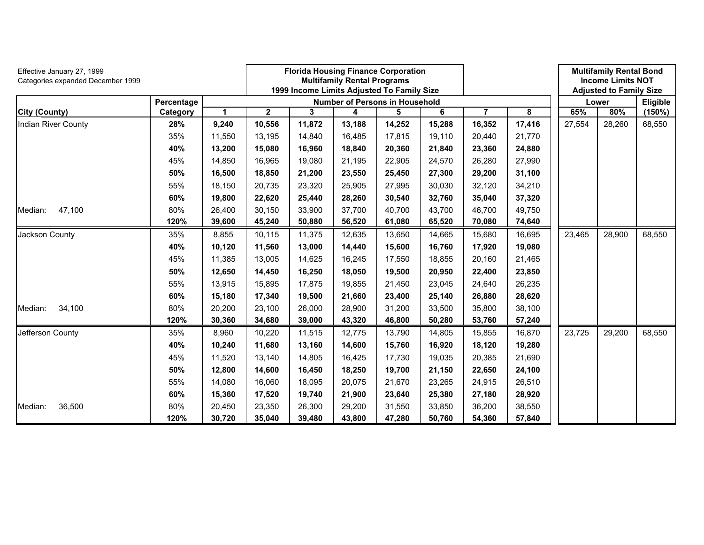| Effective January 27, 1999<br>Categories expanded December 1999 |            |        | <b>Florida Housing Finance Corporation</b><br><b>Multifamily Rental Programs</b><br>1999 Income Limits Adjusted To Family Size |                                       |        |          |                         |                |        |        | <b>Multifamily Rental Bond</b><br><b>Income Limits NOT</b><br><b>Adjusted to Family Size</b> |        |
|-----------------------------------------------------------------|------------|--------|--------------------------------------------------------------------------------------------------------------------------------|---------------------------------------|--------|----------|-------------------------|----------------|--------|--------|----------------------------------------------------------------------------------------------|--------|
|                                                                 | Percentage |        |                                                                                                                                | <b>Number of Persons in Household</b> | Lower  | Eligible |                         |                |        |        |                                                                                              |        |
| <b>City (County)</b>                                            | Category   | 1      | 2                                                                                                                              | 3                                     | 4      | 5        | $\overline{\mathbf{6}}$ | $\overline{7}$ | 8      | 65%    | 80%                                                                                          | (150%) |
| Indian River County                                             | 28%        | 9,240  | 10,556                                                                                                                         | 11,872                                | 13,188 | 14,252   | 15,288                  | 16,352         | 17,416 | 27,554 | 28,260                                                                                       | 68,550 |
|                                                                 | 35%        | 11,550 | 13,195                                                                                                                         | 14,840                                | 16,485 | 17,815   | 19,110                  | 20,440         | 21,770 |        |                                                                                              |        |
|                                                                 | 40%        | 13,200 | 15,080                                                                                                                         | 16,960                                | 18,840 | 20,360   | 21,840                  | 23,360         | 24,880 |        |                                                                                              |        |
|                                                                 | 45%        | 14,850 | 16,965                                                                                                                         | 19,080                                | 21,195 | 22,905   | 24,570                  | 26,280         | 27,990 |        |                                                                                              |        |
|                                                                 | 50%        | 16,500 | 18,850                                                                                                                         | 21,200                                | 23,550 | 25,450   | 27,300                  | 29,200         | 31,100 |        |                                                                                              |        |
|                                                                 | 55%        | 18,150 | 20,735                                                                                                                         | 23,320                                | 25,905 | 27,995   | 30,030                  | 32,120         | 34,210 |        |                                                                                              |        |
|                                                                 | 60%        | 19,800 | 22,620                                                                                                                         | 25,440                                | 28,260 | 30,540   | 32,760                  | 35,040         | 37,320 |        |                                                                                              |        |
| 47,100<br>Median:                                               | 80%        | 26,400 | 30,150                                                                                                                         | 33,900                                | 37,700 | 40,700   | 43,700                  | 46,700         | 49,750 |        |                                                                                              |        |
|                                                                 | 120%       | 39,600 | 45,240                                                                                                                         | 50,880                                | 56,520 | 61,080   | 65,520                  | 70,080         | 74,640 |        |                                                                                              |        |
| Jackson County                                                  | 35%        | 8,855  | 10,115                                                                                                                         | 11,375                                | 12,635 | 13,650   | 14,665                  | 15,680         | 16,695 | 23,465 | 28,900                                                                                       | 68,550 |
|                                                                 | 40%        | 10,120 | 11,560                                                                                                                         | 13,000                                | 14,440 | 15,600   | 16,760                  | 17,920         | 19,080 |        |                                                                                              |        |
|                                                                 | 45%        | 11,385 | 13,005                                                                                                                         | 14,625                                | 16,245 | 17,550   | 18,855                  | 20,160         | 21,465 |        |                                                                                              |        |
|                                                                 | 50%        | 12,650 | 14,450                                                                                                                         | 16,250                                | 18,050 | 19,500   | 20,950                  | 22,400         | 23,850 |        |                                                                                              |        |
|                                                                 | 55%        | 13,915 | 15,895                                                                                                                         | 17,875                                | 19,855 | 21,450   | 23,045                  | 24,640         | 26,235 |        |                                                                                              |        |
|                                                                 | 60%        | 15,180 | 17,340                                                                                                                         | 19,500                                | 21,660 | 23,400   | 25,140                  | 26,880         | 28,620 |        |                                                                                              |        |
| 34,100<br>Median:                                               | 80%        | 20,200 | 23,100                                                                                                                         | 26,000                                | 28,900 | 31,200   | 33,500                  | 35,800         | 38,100 |        |                                                                                              |        |
|                                                                 | 120%       | 30,360 | 34,680                                                                                                                         | 39,000                                | 43,320 | 46,800   | 50,280                  | 53,760         | 57,240 |        |                                                                                              |        |
| Jefferson County                                                | 35%        | 8,960  | 10,220                                                                                                                         | 11,515                                | 12,775 | 13,790   | 14,805                  | 15,855         | 16,870 | 23,725 | 29,200                                                                                       | 68,550 |
|                                                                 | 40%        | 10,240 | 11,680                                                                                                                         | 13,160                                | 14,600 | 15,760   | 16,920                  | 18,120         | 19,280 |        |                                                                                              |        |
|                                                                 | 45%        | 11,520 | 13,140                                                                                                                         | 14,805                                | 16,425 | 17,730   | 19,035                  | 20,385         | 21,690 |        |                                                                                              |        |
|                                                                 | 50%        | 12,800 | 14,600                                                                                                                         | 16,450                                | 18,250 | 19,700   | 21,150                  | 22,650         | 24,100 |        |                                                                                              |        |
|                                                                 | 55%        | 14,080 | 16,060                                                                                                                         | 18,095                                | 20,075 | 21,670   | 23,265                  | 24,915         | 26,510 |        |                                                                                              |        |
|                                                                 | 60%        | 15,360 | 17,520                                                                                                                         | 19,740                                | 21,900 | 23,640   | 25,380                  | 27,180         | 28,920 |        |                                                                                              |        |
| 36,500<br>Median:                                               | 80%        | 20,450 | 23,350                                                                                                                         | 26,300                                | 29,200 | 31,550   | 33,850                  | 36,200         | 38,550 |        |                                                                                              |        |
|                                                                 | 120%       | 30,720 | 35,040                                                                                                                         | 39,480                                | 43,800 | 47,280   | 50,760                  | 54,360         | 57,840 |        |                                                                                              |        |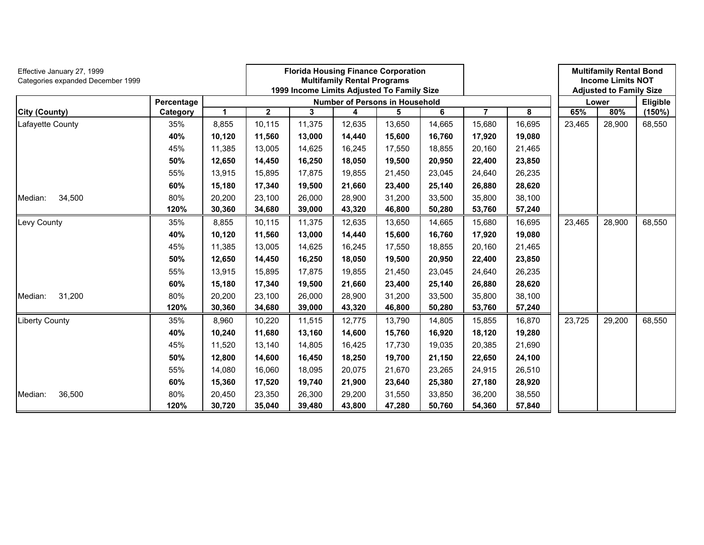| Effective January 27, 1999<br>Categories expanded December 1999 |            |        |             | <b>Florida Housing Finance Corporation</b><br><b>Multifamily Rental Programs</b><br>1999 Income Limits Adjusted To Family Size |        |          |        |        |        |        |        | <b>Multifamily Rental Bond</b><br><b>Income Limits NOT</b><br><b>Adjusted to Family Size</b> |
|-----------------------------------------------------------------|------------|--------|-------------|--------------------------------------------------------------------------------------------------------------------------------|--------|----------|--------|--------|--------|--------|--------|----------------------------------------------------------------------------------------------|
|                                                                 | Percentage |        |             | <b>Number of Persons in Household</b>                                                                                          | Lower  | Eligible |        |        |        |        |        |                                                                                              |
| <b>City (County)</b>                                            | Category   | 1      | $\mathbf 2$ | 3                                                                                                                              | 4      | 5        | 6      | 7      | 8      | 65%    | 80%    | (150%)                                                                                       |
| Lafayette County                                                | 35%        | 8,855  | 10,115      | 11,375                                                                                                                         | 12,635 | 13,650   | 14,665 | 15,680 | 16,695 | 23,465 | 28,900 | 68,550                                                                                       |
|                                                                 | 40%        | 10,120 | 11,560      | 13,000                                                                                                                         | 14,440 | 15,600   | 16,760 | 17,920 | 19,080 |        |        |                                                                                              |
|                                                                 | 45%        | 11,385 | 13,005      | 14,625                                                                                                                         | 16,245 | 17,550   | 18,855 | 20,160 | 21,465 |        |        |                                                                                              |
|                                                                 | 50%        | 12,650 | 14,450      | 16,250                                                                                                                         | 18,050 | 19,500   | 20,950 | 22,400 | 23,850 |        |        |                                                                                              |
|                                                                 | 55%        | 13,915 | 15,895      | 17,875                                                                                                                         | 19,855 | 21,450   | 23,045 | 24,640 | 26,235 |        |        |                                                                                              |
|                                                                 | 60%        | 15,180 | 17,340      | 19,500                                                                                                                         | 21,660 | 23,400   | 25,140 | 26,880 | 28,620 |        |        |                                                                                              |
| 34,500<br>Median:                                               | 80%        | 20,200 | 23,100      | 26,000                                                                                                                         | 28,900 | 31,200   | 33,500 | 35,800 | 38,100 |        |        |                                                                                              |
|                                                                 | 120%       | 30,360 | 34,680      | 39,000                                                                                                                         | 43,320 | 46,800   | 50,280 | 53,760 | 57,240 |        |        |                                                                                              |
| Levy County                                                     | 35%        | 8,855  | 10,115      | 11,375                                                                                                                         | 12,635 | 13,650   | 14,665 | 15,680 | 16,695 | 23,465 | 28,900 | 68,550                                                                                       |
|                                                                 | 40%        | 10,120 | 11,560      | 13,000                                                                                                                         | 14,440 | 15,600   | 16,760 | 17,920 | 19,080 |        |        |                                                                                              |
|                                                                 | 45%        | 11,385 | 13,005      | 14,625                                                                                                                         | 16,245 | 17,550   | 18,855 | 20,160 | 21,465 |        |        |                                                                                              |
|                                                                 | 50%        | 12,650 | 14,450      | 16,250                                                                                                                         | 18,050 | 19,500   | 20,950 | 22,400 | 23,850 |        |        |                                                                                              |
|                                                                 | 55%        | 13,915 | 15,895      | 17,875                                                                                                                         | 19,855 | 21,450   | 23,045 | 24,640 | 26,235 |        |        |                                                                                              |
|                                                                 | 60%        | 15,180 | 17,340      | 19,500                                                                                                                         | 21,660 | 23,400   | 25,140 | 26,880 | 28,620 |        |        |                                                                                              |
| 31,200<br>Median:                                               | 80%        | 20,200 | 23,100      | 26,000                                                                                                                         | 28,900 | 31,200   | 33,500 | 35,800 | 38,100 |        |        |                                                                                              |
|                                                                 | 120%       | 30,360 | 34,680      | 39,000                                                                                                                         | 43,320 | 46,800   | 50,280 | 53,760 | 57,240 |        |        |                                                                                              |
| <b>Liberty County</b>                                           | 35%        | 8,960  | 10,220      | 11,515                                                                                                                         | 12,775 | 13,790   | 14,805 | 15,855 | 16,870 | 23,725 | 29,200 | 68,550                                                                                       |
|                                                                 | 40%        | 10,240 | 11,680      | 13,160                                                                                                                         | 14,600 | 15,760   | 16,920 | 18,120 | 19,280 |        |        |                                                                                              |
|                                                                 | 45%        | 11,520 | 13,140      | 14,805                                                                                                                         | 16,425 | 17,730   | 19,035 | 20,385 | 21,690 |        |        |                                                                                              |
|                                                                 | 50%        | 12,800 | 14,600      | 16,450                                                                                                                         | 18,250 | 19,700   | 21,150 | 22,650 | 24,100 |        |        |                                                                                              |
|                                                                 | 55%        | 14,080 | 16.060      | 18,095                                                                                                                         | 20,075 | 21,670   | 23,265 | 24,915 | 26,510 |        |        |                                                                                              |
|                                                                 | 60%        | 15,360 | 17,520      | 19,740                                                                                                                         | 21,900 | 23,640   | 25,380 | 27,180 | 28,920 |        |        |                                                                                              |
| 36,500<br>Median:                                               | 80%        | 20,450 | 23,350      | 26,300                                                                                                                         | 29,200 | 31,550   | 33,850 | 36,200 | 38,550 |        |        |                                                                                              |
|                                                                 | 120%       | 30,720 | 35,040      | 39,480                                                                                                                         | 43,800 | 47,280   | 50,760 | 54,360 | 57,840 |        |        |                                                                                              |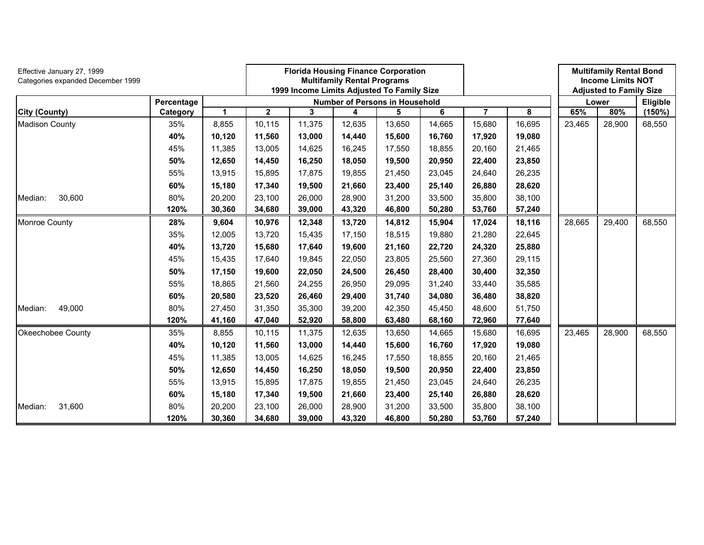| Effective January 27, 1999<br>Categories expanded December 1999 |            |              | <b>Florida Housing Finance Corporation</b><br><b>Multifamily Rental Programs</b><br>1999 Income Limits Adjusted To Family Size |                                       |        |        |        |                |        |        | <b>Multifamily Rental Bond</b><br><b>Income Limits NOT</b><br><b>Adjusted to Family Size</b> |          |
|-----------------------------------------------------------------|------------|--------------|--------------------------------------------------------------------------------------------------------------------------------|---------------------------------------|--------|--------|--------|----------------|--------|--------|----------------------------------------------------------------------------------------------|----------|
|                                                                 | Percentage |              |                                                                                                                                | <b>Number of Persons in Household</b> |        |        |        |                |        | Lower  |                                                                                              | Eligible |
| <b>City (County)</b>                                            | Category   | $\mathbf{1}$ | $\overline{\mathbf{2}}$                                                                                                        | 3                                     | 4      | 5      | 6      | $\overline{7}$ | 8      | 65%    | 80%                                                                                          | (150%)   |
| <b>Madison County</b>                                           | 35%        | 8,855        | 10,115                                                                                                                         | 11,375                                | 12,635 | 13,650 | 14,665 | 15,680         | 16,695 | 23,465 | 28,900                                                                                       | 68,550   |
|                                                                 | 40%        | 10,120       | 11,560                                                                                                                         | 13,000                                | 14,440 | 15,600 | 16,760 | 17,920         | 19,080 |        |                                                                                              |          |
|                                                                 | 45%        | 11,385       | 13,005                                                                                                                         | 14,625                                | 16,245 | 17,550 | 18,855 | 20,160         | 21,465 |        |                                                                                              |          |
|                                                                 | 50%        | 12,650       | 14,450                                                                                                                         | 16,250                                | 18,050 | 19,500 | 20,950 | 22,400         | 23,850 |        |                                                                                              |          |
|                                                                 | 55%        | 13,915       | 15,895                                                                                                                         | 17,875                                | 19,855 | 21,450 | 23,045 | 24,640         | 26,235 |        |                                                                                              |          |
|                                                                 | 60%        | 15,180       | 17,340                                                                                                                         | 19,500                                | 21,660 | 23,400 | 25,140 | 26,880         | 28,620 |        |                                                                                              |          |
| 30,600<br>Median:                                               | 80%        | 20,200       | 23,100                                                                                                                         | 26,000                                | 28,900 | 31,200 | 33,500 | 35,800         | 38,100 |        |                                                                                              |          |
|                                                                 | 120%       | 30,360       | 34,680                                                                                                                         | 39,000                                | 43,320 | 46,800 | 50,280 | 53,760         | 57,240 |        |                                                                                              |          |
| Monroe County                                                   | 28%        | 9,604        | 10,976                                                                                                                         | 12,348                                | 13,720 | 14,812 | 15,904 | 17,024         | 18,116 | 28,665 | 29,400                                                                                       | 68,550   |
|                                                                 | 35%        | 12,005       | 13,720                                                                                                                         | 15,435                                | 17,150 | 18,515 | 19,880 | 21,280         | 22,645 |        |                                                                                              |          |
|                                                                 | 40%        | 13,720       | 15,680                                                                                                                         | 17,640                                | 19,600 | 21,160 | 22,720 | 24,320         | 25,880 |        |                                                                                              |          |
|                                                                 | 45%        | 15,435       | 17,640                                                                                                                         | 19,845                                | 22,050 | 23,805 | 25,560 | 27,360         | 29,115 |        |                                                                                              |          |
|                                                                 | 50%        | 17,150       | 19,600                                                                                                                         | 22,050                                | 24,500 | 26,450 | 28,400 | 30,400         | 32,350 |        |                                                                                              |          |
|                                                                 | 55%        | 18,865       | 21,560                                                                                                                         | 24,255                                | 26,950 | 29,095 | 31,240 | 33,440         | 35,585 |        |                                                                                              |          |
|                                                                 | 60%        | 20,580       | 23,520                                                                                                                         | 26,460                                | 29,400 | 31,740 | 34,080 | 36,480         | 38,820 |        |                                                                                              |          |
| 49,000<br>Median:                                               | 80%        | 27,450       | 31,350                                                                                                                         | 35,300                                | 39,200 | 42,350 | 45,450 | 48,600         | 51,750 |        |                                                                                              |          |
|                                                                 | 120%       | 41,160       | 47,040                                                                                                                         | 52,920                                | 58,800 | 63,480 | 68,160 | 72,960         | 77,640 |        |                                                                                              |          |
| Okeechobee County                                               | 35%        | 8,855        | 10,115                                                                                                                         | 11,375                                | 12,635 | 13,650 | 14,665 | 15,680         | 16,695 | 23,465 | 28,900                                                                                       | 68,550   |
|                                                                 | 40%        | 10,120       | 11,560                                                                                                                         | 13,000                                | 14,440 | 15,600 | 16,760 | 17,920         | 19,080 |        |                                                                                              |          |
|                                                                 | 45%        | 11,385       | 13,005                                                                                                                         | 14,625                                | 16,245 | 17,550 | 18,855 | 20,160         | 21,465 |        |                                                                                              |          |
|                                                                 | 50%        | 12,650       | 14,450                                                                                                                         | 16,250                                | 18,050 | 19,500 | 20,950 | 22,400         | 23,850 |        |                                                                                              |          |
|                                                                 | 55%        | 13,915       | 15,895                                                                                                                         | 17,875                                | 19,855 | 21,450 | 23,045 | 24,640         | 26,235 |        |                                                                                              |          |
|                                                                 | 60%        | 15,180       | 17,340                                                                                                                         | 19,500                                | 21,660 | 23,400 | 25,140 | 26,880         | 28,620 |        |                                                                                              |          |
| 31,600<br>Median:                                               | 80%        | 20,200       | 23,100                                                                                                                         | 26,000                                | 28,900 | 31,200 | 33,500 | 35,800         | 38,100 |        |                                                                                              |          |
|                                                                 | 120%       | 30,360       | 34,680                                                                                                                         | 39,000                                | 43,320 | 46,800 | 50,280 | 53,760         | 57,240 |        |                                                                                              |          |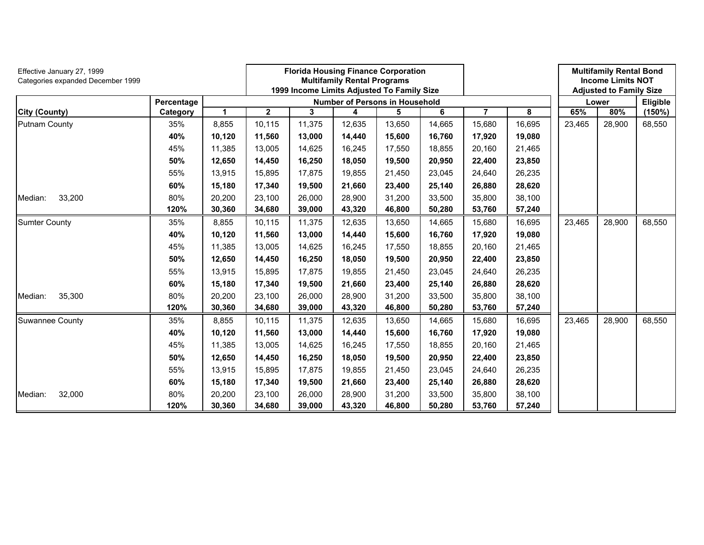| Effective January 27, 1999<br>Categories expanded December 1999 |            |        | <b>Florida Housing Finance Corporation</b><br><b>Multifamily Rental Programs</b><br>1999 Income Limits Adjusted To Family Size |                                       |        |          |        |        |        |        | <b>Multifamily Rental Bond</b><br><b>Income Limits NOT</b><br><b>Adjusted to Family Size</b> |        |  |
|-----------------------------------------------------------------|------------|--------|--------------------------------------------------------------------------------------------------------------------------------|---------------------------------------|--------|----------|--------|--------|--------|--------|----------------------------------------------------------------------------------------------|--------|--|
|                                                                 | Percentage |        |                                                                                                                                | <b>Number of Persons in Household</b> | Lower  | Eligible |        |        |        |        |                                                                                              |        |  |
| <b>City (County)</b>                                            | Category   | 1      | $\mathbf 2$                                                                                                                    | 3                                     | 4      | 5        | 6      | 7      | 8      | 65%    | 80%                                                                                          | (150%) |  |
| Putnam County                                                   | 35%        | 8,855  | 10,115                                                                                                                         | 11,375                                | 12,635 | 13,650   | 14,665 | 15,680 | 16,695 | 23,465 | 28,900                                                                                       | 68,550 |  |
|                                                                 | 40%        | 10,120 | 11,560                                                                                                                         | 13,000                                | 14,440 | 15,600   | 16,760 | 17,920 | 19,080 |        |                                                                                              |        |  |
|                                                                 | 45%        | 11,385 | 13,005                                                                                                                         | 14,625                                | 16,245 | 17,550   | 18,855 | 20,160 | 21,465 |        |                                                                                              |        |  |
|                                                                 | 50%        | 12,650 | 14,450                                                                                                                         | 16,250                                | 18,050 | 19,500   | 20,950 | 22,400 | 23,850 |        |                                                                                              |        |  |
|                                                                 | 55%        | 13,915 | 15,895                                                                                                                         | 17,875                                | 19,855 | 21,450   | 23,045 | 24,640 | 26,235 |        |                                                                                              |        |  |
|                                                                 | 60%        | 15,180 | 17,340                                                                                                                         | 19,500                                | 21,660 | 23,400   | 25,140 | 26,880 | 28,620 |        |                                                                                              |        |  |
| 33,200<br>Median:                                               | 80%        | 20,200 | 23,100                                                                                                                         | 26,000                                | 28,900 | 31,200   | 33,500 | 35,800 | 38,100 |        |                                                                                              |        |  |
|                                                                 | 120%       | 30,360 | 34,680                                                                                                                         | 39,000                                | 43,320 | 46,800   | 50,280 | 53,760 | 57,240 |        |                                                                                              |        |  |
| <b>Sumter County</b>                                            | 35%        | 8,855  | 10,115                                                                                                                         | 11,375                                | 12,635 | 13,650   | 14,665 | 15,680 | 16,695 | 23,465 | 28,900                                                                                       | 68,550 |  |
|                                                                 | 40%        | 10,120 | 11,560                                                                                                                         | 13,000                                | 14,440 | 15,600   | 16,760 | 17,920 | 19,080 |        |                                                                                              |        |  |
|                                                                 | 45%        | 11,385 | 13,005                                                                                                                         | 14,625                                | 16,245 | 17,550   | 18,855 | 20,160 | 21,465 |        |                                                                                              |        |  |
|                                                                 | 50%        | 12,650 | 14,450                                                                                                                         | 16,250                                | 18,050 | 19,500   | 20,950 | 22,400 | 23,850 |        |                                                                                              |        |  |
|                                                                 | 55%        | 13,915 | 15,895                                                                                                                         | 17,875                                | 19,855 | 21,450   | 23,045 | 24,640 | 26,235 |        |                                                                                              |        |  |
|                                                                 | 60%        | 15,180 | 17,340                                                                                                                         | 19,500                                | 21,660 | 23,400   | 25,140 | 26,880 | 28,620 |        |                                                                                              |        |  |
| 35,300<br>Median:                                               | 80%        | 20,200 | 23,100                                                                                                                         | 26,000                                | 28,900 | 31,200   | 33,500 | 35,800 | 38,100 |        |                                                                                              |        |  |
|                                                                 | 120%       | 30,360 | 34,680                                                                                                                         | 39,000                                | 43,320 | 46,800   | 50,280 | 53,760 | 57,240 |        |                                                                                              |        |  |
| <b>Suwannee County</b>                                          | 35%        | 8,855  | 10,115                                                                                                                         | 11,375                                | 12,635 | 13,650   | 14,665 | 15,680 | 16,695 | 23,465 | 28,900                                                                                       | 68,550 |  |
|                                                                 | 40%        | 10,120 | 11,560                                                                                                                         | 13,000                                | 14,440 | 15,600   | 16,760 | 17,920 | 19,080 |        |                                                                                              |        |  |
|                                                                 | 45%        | 11,385 | 13,005                                                                                                                         | 14,625                                | 16,245 | 17,550   | 18,855 | 20,160 | 21,465 |        |                                                                                              |        |  |
|                                                                 | 50%        | 12,650 | 14,450                                                                                                                         | 16,250                                | 18,050 | 19,500   | 20,950 | 22,400 | 23,850 |        |                                                                                              |        |  |
|                                                                 | 55%        | 13,915 | 15.895                                                                                                                         | 17,875                                | 19,855 | 21,450   | 23,045 | 24,640 | 26,235 |        |                                                                                              |        |  |
|                                                                 | 60%        | 15,180 | 17,340                                                                                                                         | 19,500                                | 21,660 | 23,400   | 25,140 | 26,880 | 28,620 |        |                                                                                              |        |  |
| 32,000<br>Median:                                               | 80%        | 20,200 | 23,100                                                                                                                         | 26,000                                | 28,900 | 31,200   | 33,500 | 35,800 | 38,100 |        |                                                                                              |        |  |
|                                                                 | 120%       | 30,360 | 34,680                                                                                                                         | 39,000                                | 43,320 | 46,800   | 50,280 | 53,760 | 57,240 |        |                                                                                              |        |  |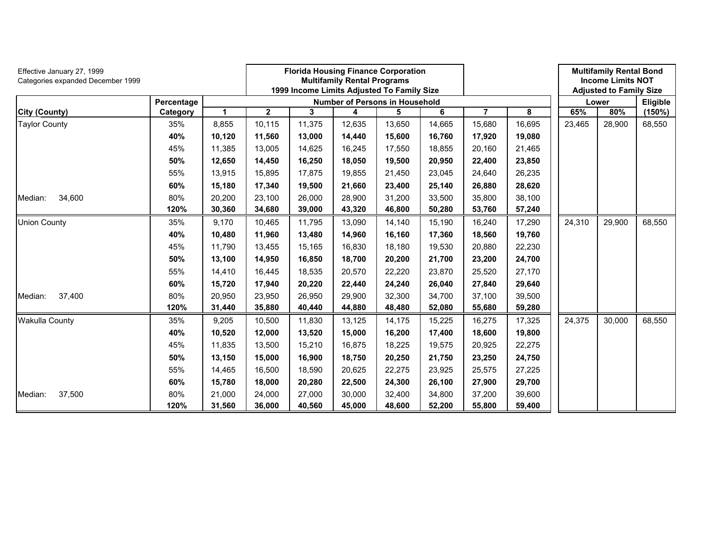| Effective January 27, 1999<br>Categories expanded December 1999 |            |              | <b>Florida Housing Finance Corporation</b><br><b>Multifamily Rental Programs</b><br>1999 Income Limits Adjusted To Family Size |                                       |        |          |        |        |        | <b>Multifamily Rental Bond</b><br><b>Income Limits NOT</b><br><b>Adjusted to Family Size</b> |        |        |
|-----------------------------------------------------------------|------------|--------------|--------------------------------------------------------------------------------------------------------------------------------|---------------------------------------|--------|----------|--------|--------|--------|----------------------------------------------------------------------------------------------|--------|--------|
|                                                                 | Percentage |              |                                                                                                                                | <b>Number of Persons in Household</b> | Lower  | Eligible |        |        |        |                                                                                              |        |        |
| <b>City (County)</b>                                            | Category   | $\mathbf{1}$ | $\mathbf 2$                                                                                                                    | 3                                     | 4      | 5        | 6      | 7      | 8      | 65%                                                                                          | 80%    | (150%) |
| <b>Taylor County</b>                                            | 35%        | 8,855        | 10,115                                                                                                                         | 11,375                                | 12,635 | 13,650   | 14,665 | 15,680 | 16,695 | 23,465                                                                                       | 28,900 | 68,550 |
|                                                                 | 40%        | 10,120       | 11,560                                                                                                                         | 13,000                                | 14,440 | 15,600   | 16,760 | 17,920 | 19,080 |                                                                                              |        |        |
|                                                                 | 45%        | 11,385       | 13,005                                                                                                                         | 14,625                                | 16,245 | 17,550   | 18,855 | 20,160 | 21,465 |                                                                                              |        |        |
|                                                                 | 50%        | 12,650       | 14,450                                                                                                                         | 16,250                                | 18,050 | 19,500   | 20,950 | 22,400 | 23,850 |                                                                                              |        |        |
|                                                                 | 55%        | 13,915       | 15,895                                                                                                                         | 17,875                                | 19,855 | 21,450   | 23,045 | 24,640 | 26,235 |                                                                                              |        |        |
|                                                                 | 60%        | 15,180       | 17,340                                                                                                                         | 19,500                                | 21,660 | 23,400   | 25,140 | 26,880 | 28,620 |                                                                                              |        |        |
| 34,600<br>Median:                                               | 80%        | 20,200       | 23,100                                                                                                                         | 26,000                                | 28,900 | 31,200   | 33,500 | 35,800 | 38,100 |                                                                                              |        |        |
|                                                                 | 120%       | 30,360       | 34,680                                                                                                                         | 39,000                                | 43,320 | 46,800   | 50,280 | 53,760 | 57,240 |                                                                                              |        |        |
| <b>Union County</b>                                             | 35%        | 9,170        | 10,465                                                                                                                         | 11,795                                | 13,090 | 14,140   | 15,190 | 16,240 | 17,290 | 24,310                                                                                       | 29,900 | 68,550 |
|                                                                 | 40%        | 10,480       | 11,960                                                                                                                         | 13,480                                | 14,960 | 16,160   | 17,360 | 18,560 | 19,760 |                                                                                              |        |        |
|                                                                 | 45%        | 11,790       | 13,455                                                                                                                         | 15,165                                | 16,830 | 18,180   | 19,530 | 20,880 | 22,230 |                                                                                              |        |        |
|                                                                 | 50%        | 13,100       | 14,950                                                                                                                         | 16,850                                | 18,700 | 20,200   | 21,700 | 23,200 | 24,700 |                                                                                              |        |        |
|                                                                 | 55%        | 14,410       | 16,445                                                                                                                         | 18,535                                | 20,570 | 22,220   | 23,870 | 25,520 | 27,170 |                                                                                              |        |        |
|                                                                 | 60%        | 15,720       | 17,940                                                                                                                         | 20,220                                | 22,440 | 24,240   | 26,040 | 27,840 | 29,640 |                                                                                              |        |        |
| 37,400<br>Median:                                               | 80%        | 20,950       | 23,950                                                                                                                         | 26,950                                | 29,900 | 32,300   | 34,700 | 37,100 | 39,500 |                                                                                              |        |        |
|                                                                 | 120%       | 31,440       | 35,880                                                                                                                         | 40,440                                | 44,880 | 48,480   | 52,080 | 55,680 | 59,280 |                                                                                              |        |        |
| <b>Wakulla County</b>                                           | 35%        | 9,205        | 10,500                                                                                                                         | 11,830                                | 13,125 | 14,175   | 15,225 | 16,275 | 17,325 | 24,375                                                                                       | 30,000 | 68,550 |
|                                                                 | 40%        | 10,520       | 12,000                                                                                                                         | 13,520                                | 15,000 | 16,200   | 17,400 | 18,600 | 19,800 |                                                                                              |        |        |
|                                                                 | 45%        | 11,835       | 13,500                                                                                                                         | 15,210                                | 16,875 | 18,225   | 19,575 | 20,925 | 22,275 |                                                                                              |        |        |
|                                                                 | 50%        | 13,150       | 15,000                                                                                                                         | 16,900                                | 18,750 | 20,250   | 21,750 | 23,250 | 24,750 |                                                                                              |        |        |
|                                                                 | 55%        | 14,465       | 16.500                                                                                                                         | 18,590                                | 20,625 | 22,275   | 23,925 | 25,575 | 27,225 |                                                                                              |        |        |
|                                                                 | 60%        | 15,780       | 18,000                                                                                                                         | 20,280                                | 22,500 | 24,300   | 26,100 | 27,900 | 29,700 |                                                                                              |        |        |
| 37,500<br>Median:                                               | 80%        | 21,000       | 24,000                                                                                                                         | 27,000                                | 30,000 | 32,400   | 34,800 | 37,200 | 39,600 |                                                                                              |        |        |
|                                                                 | 120%       | 31,560       | 36,000                                                                                                                         | 40,560                                | 45,000 | 48,600   | 52,200 | 55,800 | 59,400 |                                                                                              |        |        |